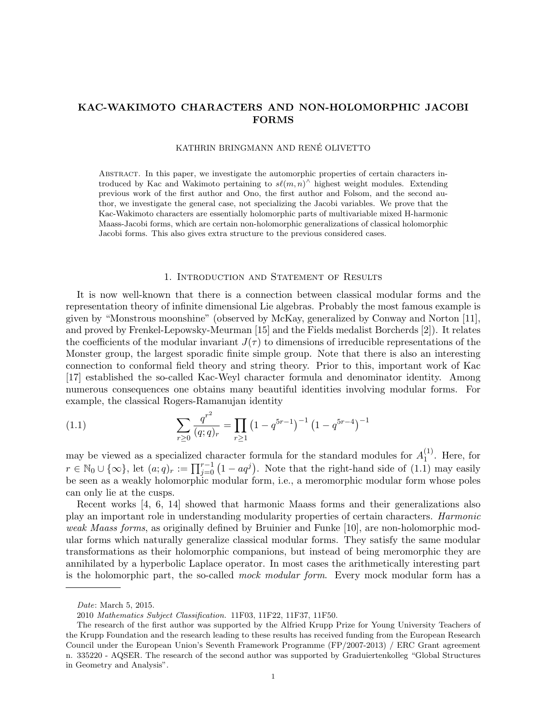# KAC-WAKIMOTO CHARACTERS AND NON-HOLOMORPHIC JACOBI FORMS

# KATHRIN BRINGMANN AND RENÉ OLIVETTO

Abstract. In this paper, we investigate the automorphic properties of certain characters introduced by Kac and Wakimoto pertaining to  $s\ell(m, n)$ <sup>^</sup> highest weight modules. Extending previous work of the first author and Ono, the first author and Folsom, and the second author, we investigate the general case, not specializing the Jacobi variables. We prove that the Kac-Wakimoto characters are essentially holomorphic parts of multivariable mixed H-harmonic Maass-Jacobi forms, which are certain non-holomorphic generalizations of classical holomorphic Jacobi forms. This also gives extra structure to the previous considered cases.

# 1. Introduction and Statement of Results

It is now well-known that there is a connection between classical modular forms and the representation theory of infinite dimensional Lie algebras. Probably the most famous example is given by "Monstrous moonshine" (observed by McKay, generalized by Conway and Norton [11], and proved by Frenkel-Lepowsky-Meurman [15] and the Fields medalist Borcherds [2]). It relates the coefficients of the modular invariant  $J(\tau)$  to dimensions of irreducible representations of the Monster group, the largest sporadic finite simple group. Note that there is also an interesting connection to conformal field theory and string theory. Prior to this, important work of Kac [17] established the so-called Kac-Weyl character formula and denominator identity. Among numerous consequences one obtains many beautiful identities involving modular forms. For example, the classical Rogers-Ramanujan identity

(1.1) 
$$
\sum_{r\geq 0} \frac{q^{r^2}}{(q;q)_r} = \prod_{r\geq 1} \left(1 - q^{5r-1}\right)^{-1} \left(1 - q^{5r-4}\right)^{-1}
$$

may be viewed as a specialized character formula for the standard modules for  $A_1^{(1)}$  $_1^{(1)}$ . Here, for  $r \in \mathbb{N}_0 \cup \{\infty\}$ , let  $(a;q)_r := \prod_{j=0}^{r-1} (1 - aq^j)$ . Note that the right-hand side of  $(1.1)$  may easily be seen as a weakly holomorphic modular form, i.e., a meromorphic modular form whose poles can only lie at the cusps.

Recent works [4, 6, 14] showed that harmonic Maass forms and their generalizations also play an important role in understanding modularity properties of certain characters. Harmonic weak Maass forms, as originally defined by Bruinier and Funke [10], are non-holomorphic modular forms which naturally generalize classical modular forms. They satisfy the same modular transformations as their holomorphic companions, but instead of being meromorphic they are annihilated by a hyperbolic Laplace operator. In most cases the arithmetically interesting part is the holomorphic part, the so-called *mock modular form*. Every mock modular form has a

Date: March 5, 2015.

<sup>2010</sup> Mathematics Subject Classification. 11F03, 11F22, 11F37, 11F50.

The research of the first author was supported by the Alfried Krupp Prize for Young University Teachers of the Krupp Foundation and the research leading to these results has received funding from the European Research Council under the European Union's Seventh Framework Programme (FP/2007-2013) / ERC Grant agreement n. 335220 - AQSER. The research of the second author was supported by Graduiertenkolleg "Global Structures in Geometry and Analysis".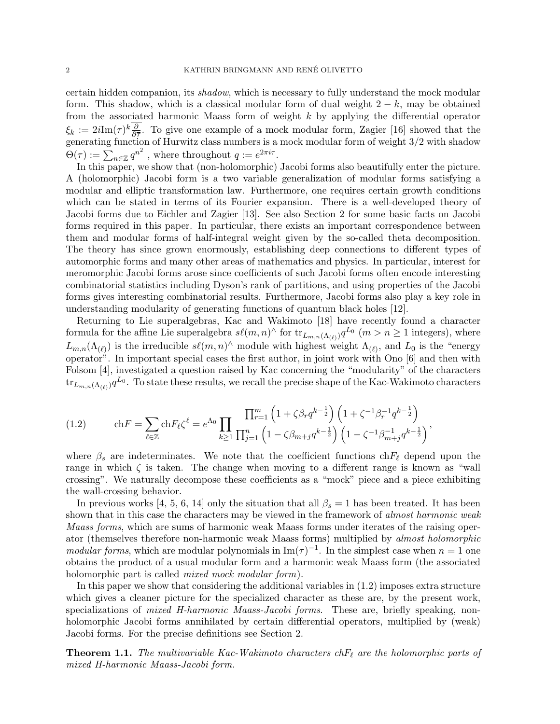certain hidden companion, its shadow, which is necessary to fully understand the mock modular form. This shadow, which is a classical modular form of dual weight  $2 - k$ , may be obtained from the associated harmonic Maass form of weight  $k$  by applying the differential operator  $\xi_k := 2i\text{Im}(\tau)^k \frac{\partial}{\partial \overline{\tau}}$ . To give one example of a mock modular form, Zagier [16] showed that the  $\zeta_k := 2i$  in  $(\tau)$   $\frac{1}{\partial \overline{\tau}}$ . To give one example of a mock modular form, zagler [10] showed that the generating function of Hurwitz class numbers is a mock modular form of weight  $3/2$  with shadow  $\Theta(\tau) := \sum_{n \in \mathbb{Z}} q^{n^2}$ , where throughout  $q := e^{2\pi i \tau}$ .

In this paper, we show that (non-holomorphic) Jacobi forms also beautifully enter the picture. A (holomorphic) Jacobi form is a two variable generalization of modular forms satisfying a modular and elliptic transformation law. Furthermore, one requires certain growth conditions which can be stated in terms of its Fourier expansion. There is a well-developed theory of Jacobi forms due to Eichler and Zagier [13]. See also Section 2 for some basic facts on Jacobi forms required in this paper. In particular, there exists an important correspondence between them and modular forms of half-integral weight given by the so-called theta decomposition. The theory has since grown enormously, establishing deep connections to different types of automorphic forms and many other areas of mathematics and physics. In particular, interest for meromorphic Jacobi forms arose since coefficients of such Jacobi forms often encode interesting combinatorial statistics including Dyson's rank of partitions, and using properties of the Jacobi forms gives interesting combinatorial results. Furthermore, Jacobi forms also play a key role in understanding modularity of generating functions of quantum black holes [12].

Returning to Lie superalgebras, Kac and Wakimoto [18] have recently found a character formula for the affine Lie superalgebra  $s\ell(m, n)$ <sup>^</sup> for  $\text{tr}_{L_{m,n}(\Lambda_{(\ell)})} q^{L_0}$   $(m > n \ge 1$  integers), where  $L_{m,n}(\Lambda_{(\ell)})$  is the irreducible  $s\ell(m,n)$ <sup> $\wedge$ </sup> module with highest weight  $\Lambda_{(\ell)}$ , and  $L_0$  is the "energy operator". In important special cases the first author, in joint work with Ono [6] and then with Folsom [4], investigated a question raised by Kac concerning the "modularity" of the characters  ${\rm tr}_{L_{m,n}(\Lambda_{(\ell)})} q^{L_0}$ . To state these results, we recall the precise shape of the Kac-Wakimoto characters

(1.2) 
$$
\operatorname{ch} F = \sum_{\ell \in \mathbb{Z}} \operatorname{ch} F_{\ell} \zeta^{\ell} = e^{\Lambda_0} \prod_{k \ge 1} \frac{\prod_{r=1}^{m} \left(1 + \zeta \beta_r q^{k - \frac{1}{2}}\right) \left(1 + \zeta^{-1} \beta_r^{-1} q^{k - \frac{1}{2}}\right)}{\prod_{j=1}^{n} \left(1 - \zeta \beta_{m+j} q^{k - \frac{1}{2}}\right) \left(1 - \zeta^{-1} \beta_{m+j}^{-1} q^{k - \frac{1}{2}}\right)},
$$

where  $\beta_s$  are indeterminates. We note that the coefficient functions ch $F_\ell$  depend upon the range in which  $\zeta$  is taken. The change when moving to a different range is known as "wall crossing". We naturally decompose these coefficients as a "mock" piece and a piece exhibiting the wall-crossing behavior.

In previous works [4, 5, 6, 14] only the situation that all  $\beta_s = 1$  has been treated. It has been shown that in this case the characters may be viewed in the framework of *almost harmonic weak* Maass forms, which are sums of harmonic weak Maass forms under iterates of the raising operator (themselves therefore non-harmonic weak Maass forms) multiplied by almost holomorphic modular forms, which are modular polynomials in  $\text{Im}(\tau)^{-1}$ . In the simplest case when  $n=1$  one obtains the product of a usual modular form and a harmonic weak Maass form (the associated holomorphic part is called *mixed mock modular form*).

In this paper we show that considering the additional variables in (1.2) imposes extra structure which gives a cleaner picture for the specialized character as these are, by the present work, specializations of *mixed H-harmonic Maass-Jacobi forms*. These are, briefly speaking, nonholomorphic Jacobi forms annihilated by certain differential operators, multiplied by (weak) Jacobi forms. For the precise definitions see Section 2.

**Theorem 1.1.** The multivariable Kac-Wakimoto characters ch $F_\ell$  are the holomorphic parts of mixed H-harmonic Maass-Jacobi form.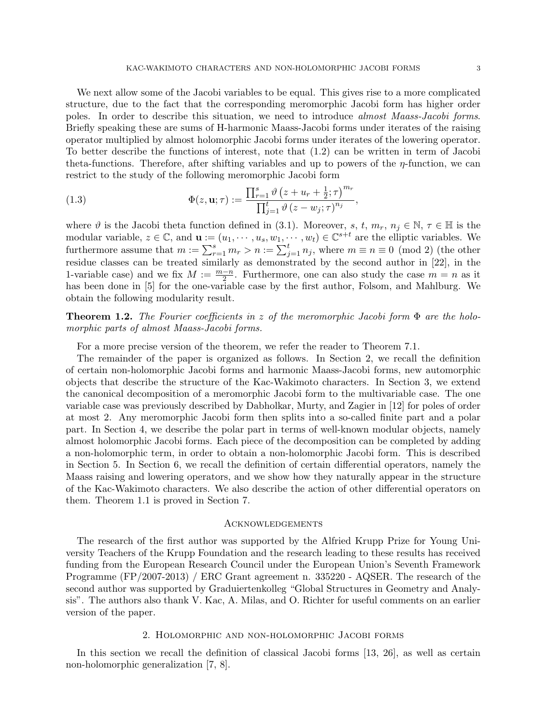We next allow some of the Jacobi variables to be equal. This gives rise to a more complicated structure, due to the fact that the corresponding meromorphic Jacobi form has higher order poles. In order to describe this situation, we need to introduce almost Maass-Jacobi forms. Briefly speaking these are sums of H-harmonic Maass-Jacobi forms under iterates of the raising operator multiplied by almost holomorphic Jacobi forms under iterates of the lowering operator. To better describe the functions of interest, note that (1.2) can be written in term of Jacobi theta-functions. Therefore, after shifting variables and up to powers of the  $\eta$ -function, we can restrict to the study of the following meromorphic Jacobi form

(1.3) 
$$
\Phi(z, \mathbf{u}; \tau) := \frac{\prod_{r=1}^{s} \vartheta \left(z + u_r + \frac{1}{2}; \tau\right)^{m_r}}{\prod_{j=1}^{t} \vartheta \left(z - w_j; \tau\right)^{n_j}},
$$

where  $\vartheta$  is the Jacobi theta function defined in (3.1). Moreover, s, t,  $m_r$ ,  $n_j \in \mathbb{N}$ ,  $\tau \in \mathbb{H}$  is the modular variable,  $z \in \mathbb{C}$ , and  $\mathbf{u} := (u_1, \dots, u_s, w_1, \dots, w_t) \in \mathbb{C}^{s+t}$  are the elliptic variables. We furthermore assume that  $m := \sum_{r=1}^{s} m_r > n := \sum_{j=1}^{t} n_j$ , where  $m \equiv n \equiv 0 \pmod{2}$  (the other residue classes can be treated similarly as demonstrated by the second author in [22], in the 1-variable case) and we fix  $M := \frac{m-n}{2}$ . Furthermore, one can also study the case  $m = n$  as it has been done in [5] for the one-variable case by the first author, Folsom, and Mahlburg. We obtain the following modularity result.

**Theorem 1.2.** The Fourier coefficients in z of the meromorphic Jacobi form  $\Phi$  are the holomorphic parts of almost Maass-Jacobi forms.

For a more precise version of the theorem, we refer the reader to Theorem 7.1.

The remainder of the paper is organized as follows. In Section 2, we recall the definition of certain non-holomorphic Jacobi forms and harmonic Maass-Jacobi forms, new automorphic objects that describe the structure of the Kac-Wakimoto characters. In Section 3, we extend the canonical decomposition of a meromorphic Jacobi form to the multivariable case. The one variable case was previously described by Dabholkar, Murty, and Zagier in [12] for poles of order at most 2. Any meromorphic Jacobi form then splits into a so-called finite part and a polar part. In Section 4, we describe the polar part in terms of well-known modular objects, namely almost holomorphic Jacobi forms. Each piece of the decomposition can be completed by adding a non-holomorphic term, in order to obtain a non-holomorphic Jacobi form. This is described in Section 5. In Section 6, we recall the definition of certain differential operators, namely the Maass raising and lowering operators, and we show how they naturally appear in the structure of the Kac-Wakimoto characters. We also describe the action of other differential operators on them. Theorem 1.1 is proved in Section 7.

# **ACKNOWLEDGEMENTS**

The research of the first author was supported by the Alfried Krupp Prize for Young University Teachers of the Krupp Foundation and the research leading to these results has received funding from the European Research Council under the European Union's Seventh Framework Programme (FP/2007-2013) / ERC Grant agreement n. 335220 - AQSER. The research of the second author was supported by Graduiertenkolleg "Global Structures in Geometry and Analysis". The authors also thank V. Kac, A. Milas, and O. Richter for useful comments on an earlier version of the paper.

### 2. Holomorphic and non-holomorphic Jacobi forms

In this section we recall the definition of classical Jacobi forms [13, 26], as well as certain non-holomorphic generalization [7, 8].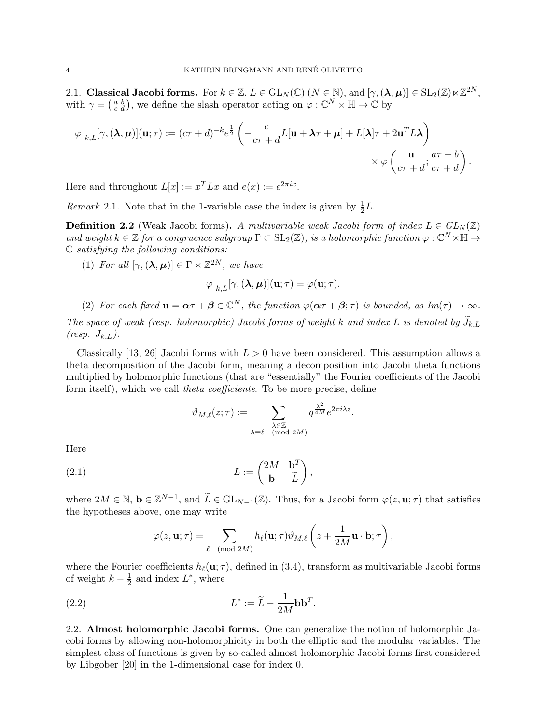2.1. Classical Jacobi forms. For  $k \in \mathbb{Z}$ ,  $L \in GL_N(\mathbb{C})$   $(N \in \mathbb{N})$ , and  $[\gamma, (\lambda, \mu)] \in SL_2(\mathbb{Z}) \ltimes \mathbb{Z}^{2N}$ , with  $\gamma = \begin{pmatrix} a & b \\ c & d \end{pmatrix}$ , we define the slash operator acting on  $\varphi : \mathbb{C}^N \times \mathbb{H} \to \mathbb{C}$  by

$$
\varphi|_{k,L}[\gamma,(\lambda,\mu)](\mathbf{u};\tau) := (c\tau+d)^{-k}e^{\frac{1}{2}}\left(-\frac{c}{c\tau+d}L[\mathbf{u}+\lambda\tau+\mu]+L[\lambda]\tau+2\mathbf{u}^{T}L\lambda\right) \times \varphi\left(\frac{\mathbf{u}}{c\tau+d};\frac{a\tau+b}{c\tau+d}\right).
$$

Here and throughout  $L[x] := x^T L x$  and  $e(x) := e^{2\pi i x}$ .

*Remark* 2.1. Note that in the 1-variable case the index is given by  $\frac{1}{2}L$ .

**Definition 2.2** (Weak Jacobi forms). A multivariable weak Jacobi form of index  $L \in GL_N(\mathbb{Z})$ and weight  $k \in \mathbb{Z}$  for a congruence subgroup  $\Gamma \subset SL_2(\mathbb{Z})$ , is a holomorphic function  $\varphi : \mathbb{C}^N \times \mathbb{H} \to$  $\mathbb C$  satisfying the following conditions:

(1) For all  $[\gamma, (\lambda, \mu)] \in \Gamma \ltimes \mathbb{Z}^{2N}$ , we have

$$
\varphi|_{k,L}[\gamma,(\lambda,\mu)](\mathbf{u};\tau)=\varphi(\mathbf{u};\tau).
$$

(2) For each fixed  $\mathbf{u} = \boldsymbol{\alpha}\tau + \boldsymbol{\beta} \in \mathbb{C}^N$ , the function  $\varphi(\boldsymbol{\alpha}\tau + \boldsymbol{\beta}; \tau)$  is bounded, as  $Im(\tau) \to \infty$ .

The space of weak (resp. holomorphic) Jacobi forms of weight k and index L is denoted by  $\widetilde{J}_{k,L}$  $(resp. J_{k,L}).$ 

Classically [13, 26] Jacobi forms with  $L > 0$  have been considered. This assumption allows a theta decomposition of the Jacobi form, meaning a decomposition into Jacobi theta functions multiplied by holomorphic functions (that are "essentially" the Fourier coefficients of the Jacobi form itself), which we call *theta coefficients*. To be more precise, define

$$
\vartheta_{M,\ell}(z;\tau) := \sum_{\substack{\lambda \in \mathbb{Z} \\ \lambda \equiv \ell \pmod{2M}}} q^{\frac{\lambda^2}{4M}} e^{2\pi i \lambda z}.
$$

Here

(2.1) 
$$
L := \begin{pmatrix} 2M & \mathbf{b}^T \\ \mathbf{b} & \widetilde{L} \end{pmatrix},
$$

where  $2M \in \mathbb{N}$ ,  $\mathbf{b} \in \mathbb{Z}^{N-1}$ , and  $\widetilde{L} \in GL_{N-1}(\mathbb{Z})$ . Thus, for a Jacobi form  $\varphi(z, \mathbf{u}; \tau)$  that satisfies the hypotheses above, one may write

$$
\varphi(z, \mathbf{u}; \tau) = \sum_{\ell \pmod{2M}} h_{\ell}(\mathbf{u}; \tau) \vartheta_{M, \ell} \left(z + \frac{1}{2M} \mathbf{u} \cdot \mathbf{b}; \tau\right),
$$

where the Fourier coefficients  $h_{\ell}(\mathbf{u}; \tau)$ , defined in (3.4), transform as multivariable Jacobi forms of weight  $k-\frac{1}{2}$  $\frac{1}{2}$  and index  $L^*$ , where

(2.2) 
$$
L^* := \widetilde{L} - \frac{1}{2M} \mathbf{b} \mathbf{b}^T.
$$

2.2. Almost holomorphic Jacobi forms. One can generalize the notion of holomorphic Jacobi forms by allowing non-holomorphicity in both the elliptic and the modular variables. The simplest class of functions is given by so-called almost holomorphic Jacobi forms first considered by Libgober [20] in the 1-dimensional case for index 0.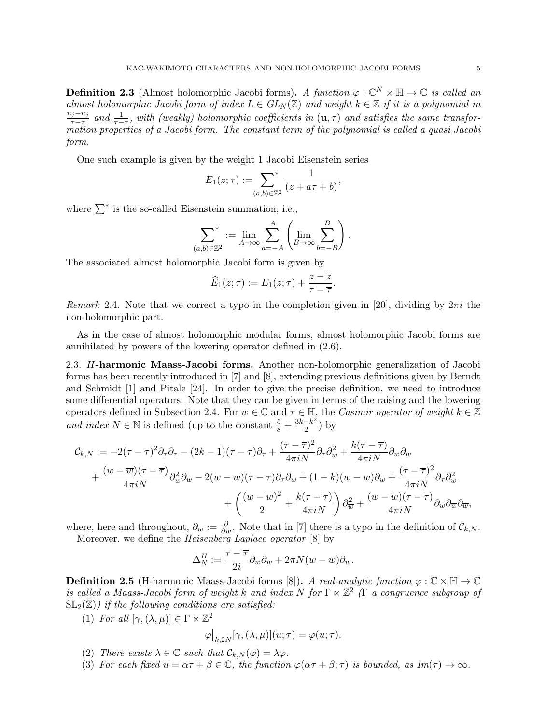**Definition 2.3** (Almost holomorphic Jacobi forms). A function  $\varphi : \mathbb{C}^N \times \mathbb{H} \to \mathbb{C}$  is called an almost holomorphic Jacobi form of index  $L \in GL_N(\mathbb{Z})$  and weight  $k \in \mathbb{Z}$  if it is a polynomial in  $u_j-\overline{u_j}$  $\frac{d\tau}{d\tau-\overline{\tau}}$  and  $\frac{1}{\tau-\overline{\tau}}$ , with (weakly) holomorphic coefficients in  $(\mathbf{u},\tau)$  and satisfies the same transformation properties of a Jacobi form. The constant term of the polynomial is called a quasi Jacobi form.

One such example is given by the weight 1 Jacobi Eisenstein series

$$
E_1(z;\tau) := \sum_{(a,b)\in\mathbb{Z}^2}^* \frac{1}{(z+a\tau+b)},
$$

where  $\sum^*$  is the so-called Eisenstein summation, i.e.,

$$
\sum_{(a,b)\in\mathbb{Z}^2}^* := \lim_{A\to\infty} \sum_{a=-A}^A \left( \lim_{B\to\infty} \sum_{b=-B}^B \right).
$$

The associated almost holomorphic Jacobi form is given by

$$
\widehat{E}_1(z;\tau) := E_1(z;\tau) + \frac{z-\overline{z}}{\tau-\overline{\tau}}.
$$

Remark 2.4. Note that we correct a typo in the completion given in [20], dividing by  $2\pi i$  the non-holomorphic part.

As in the case of almost holomorphic modular forms, almost holomorphic Jacobi forms are annihilated by powers of the lowering operator defined in (2.6).

2.3. H-harmonic Maass-Jacobi forms. Another non-holomorphic generalization of Jacobi forms has been recently introduced in [7] and [8], extending previous definitions given by Berndt and Schmidt [1] and Pitale [24]. In order to give the precise definition, we need to introduce some differential operators. Note that they can be given in terms of the raising and the lowering operators defined in Subsection 2.4. For  $w \in \mathbb{C}$  and  $\tau \in \mathbb{H}$ , the Casimir operator of weight  $k \in \mathbb{Z}$ and index  $N \in \mathbb{N}$  is defined (up to the constant  $\frac{5}{8} + \frac{3k - k^2}{2}$  $\frac{-k^2}{2}$ ) by

$$
\mathcal{C}_{k,N} := -2(\tau - \overline{\tau})^2 \partial_{\tau} \partial_{\overline{\tau}} - (2k - 1)(\tau - \overline{\tau}) \partial_{\overline{\tau}} + \frac{(\tau - \overline{\tau})^2}{4\pi i N} \partial_{\overline{v}} \partial_{\overline{w}}^2 + \frac{k(\tau - \overline{\tau})}{4\pi i N} \partial_{w} \partial_{\overline{w}} \n+ \frac{(w - \overline{w})(\tau - \overline{\tau})}{4\pi i N} \partial_{\overline{w}}^2 \partial_{\overline{w}} - 2(w - \overline{w})(\tau - \overline{\tau}) \partial_{\tau} \partial_{\overline{w}} + (1 - k)(w - \overline{w}) \partial_{\overline{w}} + \frac{(\tau - \overline{\tau})^2}{4\pi i N} \partial_{\tau} \partial_{\overline{w}}^2 \n+ \left( \frac{(w - \overline{w})^2}{2} + \frac{k(\tau - \overline{\tau})}{4\pi i N} \right) \partial_{\overline{w}}^2 + \frac{(w - \overline{w})(\tau - \overline{\tau})}{4\pi i N} \partial_{w} \partial_{\overline{w}} \partial_{\overline{w}},
$$

where, here and throughout,  $\partial_w := \frac{\partial}{\partial w}$ . Note that in [7] there is a typo in the definition of  $\mathcal{C}_{k,N}$ . Moreover, we define the Heisenberg Laplace operator [8] by

$$
\Delta_N^H:=\frac{\tau-\overline{\tau}}{2i}\partial_w\partial_{\overline{w}}+2\pi N(w-\overline{w})\partial_{\overline{w}}.
$$

**Definition 2.5** (H-harmonic Maass-Jacobi forms [8]). A real-analytic function  $\varphi : \mathbb{C} \times \mathbb{H} \to \mathbb{C}$ is called a Maass-Jacobi form of weight k and index N for  $\Gamma \ltimes \mathbb{Z}^2$  ( $\Gamma$  a congruence subgroup of  $SL_2(\mathbb{Z})$  if the following conditions are satisfied:

(1) For all  $[\gamma,(\lambda,\mu)] \in \Gamma \ltimes \mathbb{Z}^2$ 

$$
\varphi\big|_{k,2N}[\gamma,(\lambda,\mu)](u;\tau)=\varphi(u;\tau).
$$

- (2) There exists  $\lambda \in \mathbb{C}$  such that  $\mathcal{C}_{k,N}(\varphi) = \lambda \varphi$ .
- (3) For each fixed  $u = \alpha \tau + \beta \in \mathbb{C}$ , the function  $\varphi(\alpha \tau + \beta; \tau)$  is bounded, as  $Im(\tau) \to \infty$ .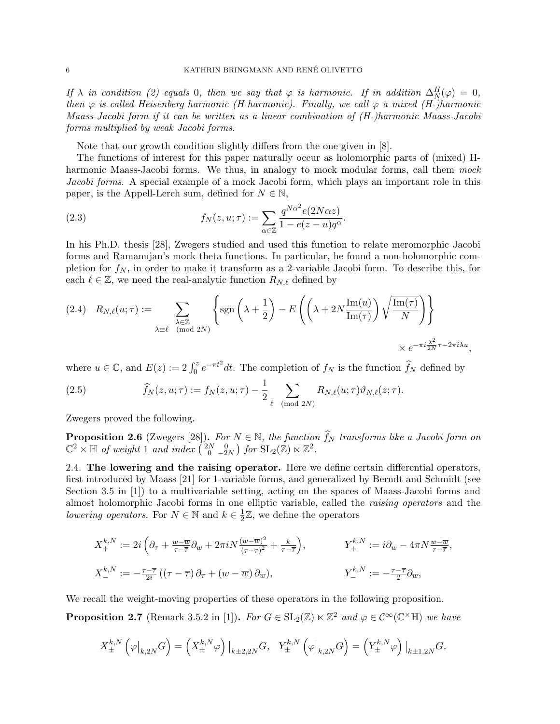If  $\lambda$  in condition (2) equals 0, then we say that  $\varphi$  is harmonic. If in addition  $\Delta_N^H(\varphi) = 0$ , then  $\varphi$  is called Heisenberg harmonic (H-harmonic). Finally, we call  $\varphi$  a mixed (H-)harmonic Maass-Jacobi form if it can be written as a linear combination of (H-)harmonic Maass-Jacobi forms multiplied by weak Jacobi forms.

Note that our growth condition slightly differs from the one given in [8].

The functions of interest for this paper naturally occur as holomorphic parts of (mixed) Hharmonic Maass-Jacobi forms. We thus, in analogy to mock modular forms, call them mock Jacobi forms. A special example of a mock Jacobi form, which plays an important role in this paper, is the Appell-Lerch sum, defined for  $N \in \mathbb{N}$ ,

(2.3) 
$$
f_N(z, u; \tau) := \sum_{\alpha \in \mathbb{Z}} \frac{q^{N\alpha^2} e(2N\alpha z)}{1 - e(z - u)q^{\alpha}}.
$$

In his Ph.D. thesis [28], Zwegers studied and used this function to relate meromorphic Jacobi forms and Ramanujan's mock theta functions. In particular, he found a non-holomorphic completion for  $f_N$ , in order to make it transform as a 2-variable Jacobi form. To describe this, for each  $\ell \in \mathbb{Z}$ , we need the real-analytic function  $R_{N,\ell}$  defined by

$$
(2.4) \quad R_{N,\ell}(u;\tau) := \sum_{\substack{\lambda \in \mathbb{Z} \\ \text{mod } 2N}} \left\{ \text{sgn}\left(\lambda + \frac{1}{2}\right) - E\left(\left(\lambda + 2N\frac{\text{Im}(u)}{\text{Im}(\tau)}\right)\sqrt{\frac{\text{Im}(\tau)}{N}}\right) \right\}
$$

$$
\times e^{-\pi i \frac{\lambda^2}{2N}\tau - 2\pi i \lambda u},
$$

where  $u \in \mathbb{C}$ , and  $E(z) := 2 \int_0^z e^{-\pi t^2} dt$ . The completion of  $f_N$  is the function  $\widehat{f}_N$  defined by

(2.5) 
$$
\widehat{f}_N(z, u; \tau) := f_N(z, u; \tau) - \frac{1}{2} \sum_{\ell \pmod{2N}} R_{N,\ell}(u; \tau) \vartheta_{N,\ell}(z; \tau).
$$

Zwegers proved the following.

**Proposition 2.6** (Zwegers [28]). For  $N \in \mathbb{N}$ , the function  $\widehat{f}_N$  transforms like a Jacobi form on  $\mathbb{C}^2 \times \mathbb{H}$  of weight 1 and index  $\begin{pmatrix} 2N & 0 \\ 0 & -2N \end{pmatrix}$  for  $SL_2(\mathbb{Z}) \ltimes \mathbb{Z}^2$ .

2.4. The lowering and the raising operator. Here we define certain differential operators, first introduced by Maass [21] for 1-variable forms, and generalized by Berndt and Schmidt (see Section 3.5 in [1]) to a multivariable setting, acting on the spaces of Maass-Jacobi forms and almost holomorphic Jacobi forms in one elliptic variable, called the raising operators and the lowering operators. For  $N \in \mathbb{N}$  and  $k \in \frac{1}{2}$  $\frac{1}{2}\mathbb{Z}$ , we define the operators

$$
X_{+}^{k,N} := 2i\left(\partial_{\tau} + \frac{w-\overline{w}}{\tau-\overline{\tau}}\partial_{w} + 2\pi i N \frac{(w-\overline{w})^{2}}{(\tau-\overline{\tau})^{2}} + \frac{k}{\tau-\overline{\tau}}\right), \qquad Y_{+}^{k,N} := i\partial_{w} - 4\pi N \frac{w-\overline{w}}{\tau-\overline{\tau}},
$$
  

$$
X_{-}^{k,N} := -\frac{\tau-\overline{\tau}}{2i}\left((\tau-\overline{\tau})\partial_{\overline{\tau}} + (w-\overline{w})\partial_{\overline{w}}\right), \qquad Y_{-}^{k,N} := -\frac{\tau-\overline{\tau}}{2}\partial_{\overline{w}},
$$

We recall the weight-moving properties of these operators in the following proposition.

**Proposition 2.7** (Remark 3.5.2 in [1]). For  $G \in SL_2(\mathbb{Z}) \ltimes \mathbb{Z}^2$  and  $\varphi \in C^\infty(\mathbb{C}^\times \mathbb{H})$  we have

$$
X^{k,N}_{\pm}\left(\varphi\big|_{k,2N}G\right) = \left(X^{k,N}_{\pm}\varphi\right)\big|_{k\pm 2,2N}G,\quad Y^{k,N}_{\pm}\left(\varphi\big|_{k,2N}G\right) = \left(Y^{k,N}_{\pm}\varphi\right)\big|_{k\pm 1,2N}G.
$$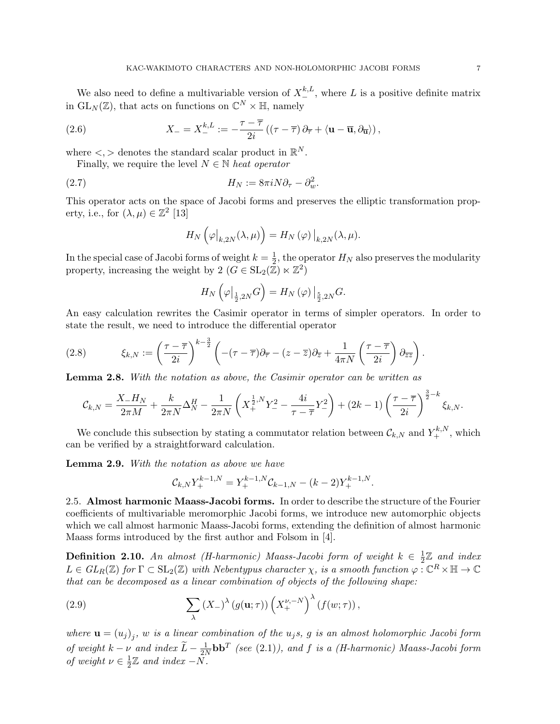We also need to define a multivariable version of  $X^{k,L}_{-}$ , where L is a positive definite matrix in  $\mathrm{GL}_N(\mathbb{Z})$ , that acts on functions on  $\mathbb{C}^N\times\mathbb{H}$ , namely

(2.6) 
$$
X_{-} = X_{-}^{k,L} := -\frac{\tau - \overline{\tau}}{2i} \left( (\tau - \overline{\tau}) \partial_{\overline{\tau}} + \langle \mathbf{u} - \overline{\mathbf{u}}, \partial_{\overline{\mathbf{u}}} \rangle \right),
$$

where  $\lt$ ,  $>$  denotes the standard scalar product in  $\mathbb{R}^N$ .

Finally, we require the level  $N \in \mathbb{N}$  heat operator

(2.7) 
$$
H_N := 8\pi i N \partial_\tau - \partial_w^2.
$$

This operator acts on the space of Jacobi forms and preserves the elliptic transformation property, i.e., for  $(\lambda, \mu) \in \mathbb{Z}^2$  [13]

$$
H_N\left(\varphi\big|_{k,2N}(\lambda,\mu)\right) = H_N\left(\varphi\right)\big|_{k,2N}(\lambda,\mu).
$$

In the special case of Jacobi forms of weight  $k=\frac{1}{2}$  $\frac{1}{2}$ , the operator  $H_N$  also preserves the modularity property, increasing the weight by  $2 (G \in SL_2(\mathbb{Z}) \ltimes \mathbb{Z}^2)$ 

$$
H_N\left(\varphi\big|_{\frac{1}{2},2N}G\right)=H_N\left(\varphi\right)\big|_{\frac{5}{2},2N}G.
$$

An easy calculation rewrites the Casimir operator in terms of simpler operators. In order to state the result, we need to introduce the differential operator

(2.8) 
$$
\xi_{k,N} := \left(\frac{\tau - \overline{\tau}}{2i}\right)^{k - \frac{3}{2}} \left( -(\tau - \overline{\tau})\partial_{\overline{\tau}} - (z - \overline{z})\partial_{\overline{z}} + \frac{1}{4\pi N} \left(\frac{\tau - \overline{\tau}}{2i}\right) \partial_{\overline{z}} z \right).
$$

Lemma 2.8. With the notation as above, the Casimir operator can be written as

$$
\mathcal{C}_{k,N} = \frac{X_-H_N}{2\pi M} + \frac{k}{2\pi N} \Delta_N^H - \frac{1}{2\pi N} \left( X_+^{\frac{1}{2},N} Y_-^2 - \frac{4i}{\tau - \overline{\tau}} Y_-^2 \right) + (2k-1) \left( \frac{\tau - \overline{\tau}}{2i} \right)^{\frac{3}{2} - k} \xi_{k,N}.
$$

We conclude this subsection by stating a commutator relation between  $\mathcal{C}_{k,N}$  and  $Y^{k,N}_+$ , which can be verified by a straightforward calculation.

Lemma 2.9. With the notation as above we have

$$
\mathcal{C}_{k,N} Y_+^{k-1,N} = Y_+^{k-1,N} \mathcal{C}_{k-1,N} - (k-2) Y_+^{k-1,N}.
$$

2.5. Almost harmonic Maass-Jacobi forms. In order to describe the structure of the Fourier coefficients of multivariable meromorphic Jacobi forms, we introduce new automorphic objects which we call almost harmonic Maass-Jacobi forms, extending the definition of almost harmonic Maass forms introduced by the first author and Folsom in [4].

**Definition 2.10.** An almost (H-harmonic) Maass-Jacobi form of weight  $k \in \frac{1}{2}$  $\frac{1}{2}\mathbb{Z}$  and index  $L \in GL_R(\mathbb{Z})$  for  $\Gamma \subset SL_2(\mathbb{Z})$  with Nebentypus character  $\chi$ , is a smooth function  $\varphi : \mathbb{C}^R \times \mathbb{H} \to \mathbb{C}$ that can be decomposed as a linear combination of objects of the following shape:

(2.9) 
$$
\sum_{\lambda} (X_{-})^{\lambda} (g(\mathbf{u};\tau)) \left(X_{+}^{\nu,-N}\right)^{\lambda} (f(w;\tau)),
$$

where  $\mathbf{u} = (u_j)_j$ , w is a linear combination of the  $u_j$ s, g is an almost holomorphic Jacobi form of weight  $k - \nu$  and index  $\widetilde{L} - \frac{1}{2N}$  $\frac{1}{2N}$ **bb**<sup>T</sup> (see (2.1)), and f is a (H-harmonic) Maass-Jacobi form of weight  $\nu \in \frac{1}{2}$  $\frac{1}{2}\mathbb{Z}$  and index  $-N$ .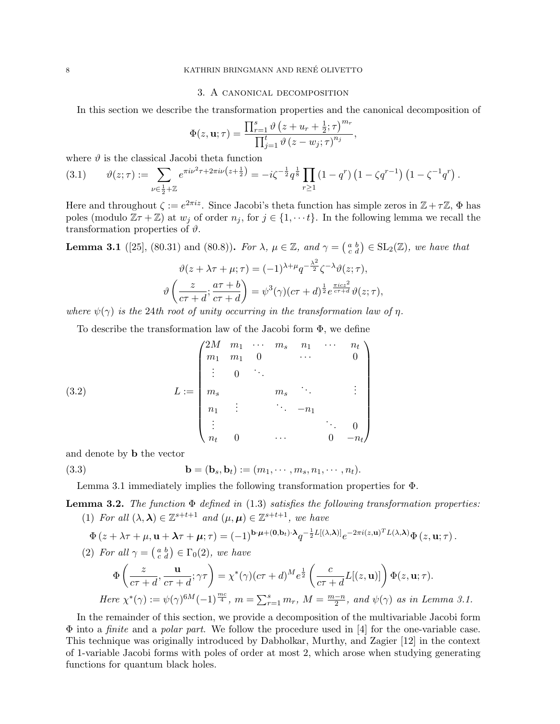# 3. A canonical decomposition

In this section we describe the transformation properties and the canonical decomposition of

$$
\Phi(z, \mathbf{u}; \tau) = \frac{\prod_{r=1}^{s} \vartheta\left(z + u_r + \frac{1}{2}; \tau\right)^{m_r}}{\prod_{j=1}^{t} \vartheta\left(z - w_j; \tau\right)^{n_j}},
$$

where  $\vartheta$  is the classical Jacobi theta function

$$
(3.1) \qquad \vartheta(z;\tau) := \sum_{\nu \in \frac{1}{2} + \mathbb{Z}} e^{\pi i \nu^2 \tau + 2\pi i \nu \left(z + \frac{1}{2}\right)} = -i \zeta^{-\frac{1}{2}} q^{\frac{1}{8}} \prod_{r \ge 1} \left(1 - q^r\right) \left(1 - \zeta q^{r-1}\right) \left(1 - \zeta^{-1} q^r\right).
$$

Here and throughout  $\zeta := e^{2\pi i z}$ . Since Jacobi's theta function has simple zeros in  $\mathbb{Z} + \tau \mathbb{Z}$ ,  $\Phi$  has poles (modulo  $\mathbb{Z} \tau + \mathbb{Z}$ ) at  $w_j$  of order  $n_j$ , for  $j \in \{1, \dots t\}$ . In the following lemma we recall the transformation properties of  $\vartheta$ .

**Lemma 3.1** ([25], (80.31) and (80.8)). For  $\lambda$ ,  $\mu \in \mathbb{Z}$ , and  $\gamma = \begin{pmatrix} a & b \\ c & d \end{pmatrix} \in SL_2(\mathbb{Z})$ , we have that

$$
\vartheta(z + \lambda \tau + \mu; \tau) = (-1)^{\lambda + \mu} q^{-\frac{\lambda^2}{2}} \zeta^{-\lambda} \vartheta(z; \tau),
$$

$$
\vartheta\left(\frac{z}{c\tau + d}; \frac{a\tau + b}{c\tau + d}\right) = \psi^3(\gamma)(c\tau + d)^{\frac{1}{2}} e^{\frac{\pi i cz^2}{c\tau + d}} \vartheta(z; \tau),
$$

where  $\psi(\gamma)$  is the 24th root of unity occurring in the transformation law of  $\eta$ .

To describe the transformation law of the Jacobi form Φ, we define

(3.2) 
$$
L := \begin{pmatrix} 2M & m_1 & \cdots & m_s & n_1 & \cdots & n_t \\ m_1 & m_1 & 0 & & \cdots & & 0 \\ \vdots & 0 & \ddots & & & & \\ m_s & & m_s & \ddots & & \vdots \\ n_1 & \vdots & & \ddots & -n_1 \\ \vdots & & & & \ddots & 0 \\ n_t & 0 & & & & 0 & -n_t \end{pmatrix}
$$

and denote by b the vector

(3.3) 
$$
\mathbf{b} = (\mathbf{b}_s, \mathbf{b}_t) := (m_1, \cdots, m_s, n_1, \cdots, n_t).
$$

Lemma 3.1 immediately implies the following transformation properties for Φ.

**Lemma 3.2.** The function  $\Phi$  defined in (1.3) satisfies the following transformation properties: (1) For all  $(\lambda, \lambda) \in \mathbb{Z}^{s+t+1}$  and  $(\mu, \mu) \in \mathbb{Z}^{s+t+1}$ , we have

$$
\Phi(z+\lambda\tau+\mu,\mathbf{u}+\lambda\tau+\mu;\tau) = (-1)^{\mathbf{b}\cdot\mu+(0,\mathbf{b}_t)\cdot\lambda} q^{-\frac{1}{2}L[(\lambda,\lambda)]} e^{-2\pi i(z,\mathbf{u})^T L(\lambda,\lambda)} \Phi(z,\mathbf{u};\tau).
$$

(2) For all 
$$
\gamma = \begin{pmatrix} a & b \\ c & d \end{pmatrix} \in \Gamma_0(2)
$$
, we have

$$
\Phi\left(\frac{z}{c\tau+d}, \frac{\mathbf{u}}{c\tau+d}; \gamma\tau\right) = \chi^*(\gamma)(c\tau+d)^M e^{\frac{1}{2}} \left(\frac{c}{c\tau+d} L[(z, \mathbf{u})]\right) \Phi(z, \mathbf{u}; \tau).
$$
  
Here  $\chi^*(\gamma) := \psi(\gamma)^{6M}(-1)^{\frac{mc}{4}}$ ,  $m = \sum_{r=1}^s m_r$ ,  $M = \frac{m-n}{2}$ , and  $\psi(\gamma)$  as in Lemma 3.1.

In the remainder of this section, we provide a decomposition of the multivariable Jacobi form  $\Phi$  into a *finite* and a *polar part*. We follow the procedure used in [4] for the one-variable case. This technique was originally introduced by Dabholkar, Murthy, and Zagier [12] in the context of 1-variable Jacobi forms with poles of order at most 2, which arose when studying generating functions for quantum black holes.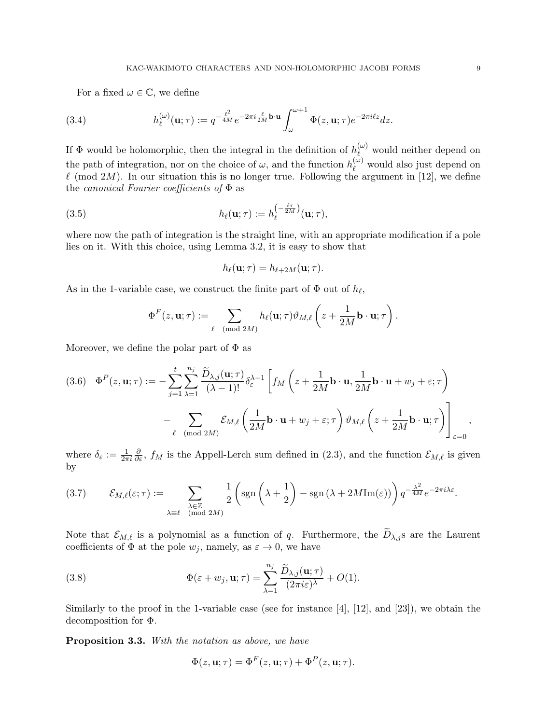For a fixed  $\omega \in \mathbb{C}$ , we define

(3.4) 
$$
h_{\ell}^{(\omega)}(\mathbf{u};\tau) := q^{-\frac{\ell^2}{4M}} e^{-2\pi i \frac{\ell}{2M} \mathbf{b} \cdot \mathbf{u}} \int_{\omega}^{\omega+1} \Phi(z,\mathbf{u};\tau) e^{-2\pi i \ell z} dz.
$$

If  $\Phi$  would be holomorphic, then the integral in the definition of  $h_{\ell}^{(\omega)}$  would neither depend on the path of integration, nor on the choice of  $\omega$ , and the function  $h_{\ell}^{(\omega)}$  would also just depend on  $\ell$  (mod 2M). In our situation this is no longer true. Following the argument in [12], we define the *canonical Fourier coefficients of*  $\Phi$  as

(3.5) 
$$
h_{\ell}(\mathbf{u};\tau) := h_{\ell}^{\left(-\frac{\ell\tau}{2M}\right)}(\mathbf{u};\tau),
$$

where now the path of integration is the straight line, with an appropriate modification if a pole lies on it. With this choice, using Lemma 3.2, it is easy to show that

$$
h_{\ell}(\mathbf{u};\tau) = h_{\ell+2M}(\mathbf{u};\tau).
$$

As in the 1-variable case, we construct the finite part of  $\Phi$  out of  $h_{\ell}$ ,

$$
\Phi^F(z, \mathbf{u}; \tau) := \sum_{\ell \pmod{2M}} h_{\ell}(\mathbf{u}; \tau) \vartheta_{M, \ell} \left( z + \frac{1}{2M} \mathbf{b} \cdot \mathbf{u}; \tau \right).
$$

Moreover, we define the polar part of  $\Phi$  as

(3.6) 
$$
\Phi^{P}(z, \mathbf{u}; \tau) := -\sum_{j=1}^{t} \sum_{\lambda=1}^{n_{j}} \frac{\widetilde{D}_{\lambda,j}(\mathbf{u}; \tau)}{(\lambda-1)!} \delta_{\varepsilon}^{\lambda-1} \left[ f_{M}\left(z + \frac{1}{2M}\mathbf{b} \cdot \mathbf{u}, \frac{1}{2M}\mathbf{b} \cdot \mathbf{u} + w_{j} + \varepsilon; \tau \right) - \sum_{\ell \pmod{2M}} \mathcal{E}_{M,\ell} \left( \frac{1}{2M}\mathbf{b} \cdot \mathbf{u} + w_{j} + \varepsilon; \tau \right) \vartheta_{M,\ell} \left( z + \frac{1}{2M}\mathbf{b} \cdot \mathbf{u}; \tau \right) \right]_{\varepsilon=0},
$$

where  $\delta_{\varepsilon} := \frac{1}{2\pi i}$  $\frac{\partial}{\partial \varepsilon}$ ,  $f_M$  is the Appell-Lerch sum defined in (2.3), and the function  $\mathcal{E}_{M,\ell}$  is given by

$$
(3.7) \qquad \mathcal{E}_{M,\ell}(\varepsilon;\tau) := \sum_{\substack{\lambda \in \mathbb{Z} \\ (\text{mod } 2M)}} \frac{1}{2} \left( \text{sgn}\left(\lambda + \frac{1}{2}\right) - \text{sgn}\left(\lambda + 2M \text{Im}(\varepsilon)\right) \right) q^{-\frac{\lambda^2}{4M}} e^{-2\pi i \lambda \varepsilon}.
$$

Note that  $\mathcal{E}_{M,\ell}$  is a polynomial as a function of q. Furthermore, the  $\widetilde{D}_{\lambda,j}$  are the Laurent coefficients of  $\Phi$  at the pole  $w_j$ , namely, as  $\varepsilon \to 0$ , we have

(3.8) 
$$
\Phi(\varepsilon + w_j, \mathbf{u}; \tau) = \sum_{\lambda=1}^{n_j} \frac{\widetilde{D}_{\lambda,j}(\mathbf{u}; \tau)}{(2\pi i \varepsilon)^{\lambda}} + O(1).
$$

Similarly to the proof in the 1-variable case (see for instance  $[4]$ ,  $[12]$ , and  $[23]$ ), we obtain the decomposition for Φ.

Proposition 3.3. With the notation as above, we have

$$
\Phi(z, \mathbf{u}; \tau) = \Phi^F(z, \mathbf{u}; \tau) + \Phi^P(z, \mathbf{u}; \tau).
$$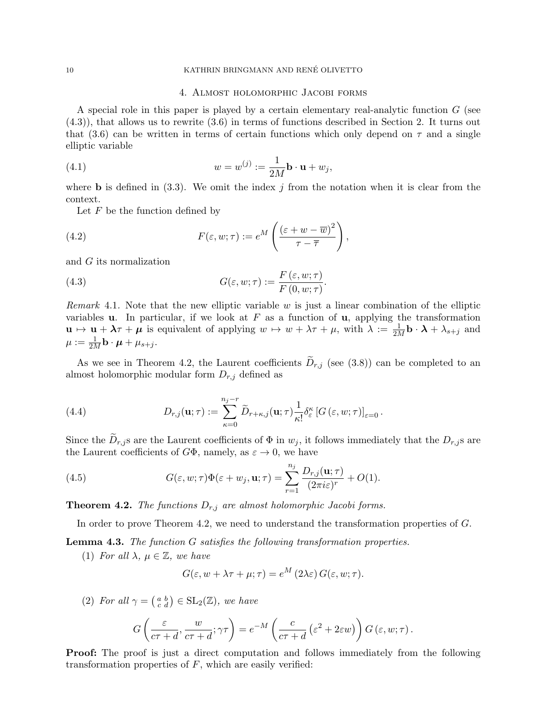#### 10 KATHRIN BRINGMANN AND RENE OLIVETTO ´

# 4. Almost holomorphic Jacobi forms

A special role in this paper is played by a certain elementary real-analytic function G (see (4.3)), that allows us to rewrite (3.6) in terms of functions described in Section 2. It turns out that (3.6) can be written in terms of certain functions which only depend on  $\tau$  and a single elliptic variable

(4.1) 
$$
w = w^{(j)} := \frac{1}{2M} \mathbf{b} \cdot \mathbf{u} + w_j,
$$

where **b** is defined in (3.3). We omit the index j from the notation when it is clear from the context.

Let  $F$  be the function defined by

(4.2) 
$$
F(\varepsilon, w; \tau) := e^M \left( \frac{(\varepsilon + w - \overline{w})^2}{\tau - \overline{\tau}} \right),
$$

and G its normalization

(4.3) 
$$
G(\varepsilon, w; \tau) := \frac{F(\varepsilon, w; \tau)}{F(0, w; \tau)}.
$$

Remark 4.1. Note that the new elliptic variable w is just a linear combination of the elliptic variables **u**. In particular, if we look at  $F$  as a function of **u**, applying the transformation  $\mathbf{u} \mapsto \mathbf{u} + \lambda \tau + \mu$  is equivalent of applying  $w \mapsto w + \lambda \tau + \mu$ , with  $\lambda := \frac{1}{2M} \mathbf{b} \cdot \mathbf{\lambda} + \lambda_{s+j}$  and  $\mu := \frac{1}{2M}{\bf b}\cdot{\boldsymbol \mu} + \mu_{s+j}.$ 

As we see in Theorem 4.2, the Laurent coefficients  $\widetilde{D}_{r,j}$  (see (3.8)) can be completed to an almost holomorphic modular form  $D_{r,j}$  defined as

(4.4) 
$$
D_{r,j}(\mathbf{u};\tau) := \sum_{\kappa=0}^{n_j - r} \widetilde{D}_{r+\kappa,j}(\mathbf{u};\tau) \frac{1}{\kappa!} \delta_{\varepsilon}^{\kappa} \left[ G\left(\varepsilon, w;\tau\right) \right]_{\varepsilon=0}.
$$

Since the  $D_{r,j}$ s are the Laurent coefficients of  $\Phi$  in  $w_j$ , it follows immediately that the  $D_{r,j}$ s are the Laurent coefficients of  $G\Phi$ , namely, as  $\varepsilon \to 0$ , we have

(4.5) 
$$
G(\varepsilon, w; \tau) \Phi(\varepsilon + w_j, \mathbf{u}; \tau) = \sum_{r=1}^{n_j} \frac{D_{r,j}(\mathbf{u}; \tau)}{(2\pi i \varepsilon)^r} + O(1).
$$

**Theorem 4.2.** The functions  $D_{r,j}$  are almost holomorphic Jacobi forms.

In order to prove Theorem 4.2, we need to understand the transformation properties of G.

Lemma 4.3. The function G satisfies the following transformation properties.

(1) For all  $\lambda, \mu \in \mathbb{Z}$ , we have

$$
G(\varepsilon, w + \lambda \tau + \mu; \tau) = e^M (2\lambda \varepsilon) G(\varepsilon, w; \tau).
$$

(2) For all  $\gamma = \begin{pmatrix} a & b \\ c & d \end{pmatrix} \in SL_2(\mathbb{Z})$ , we have

$$
G\left(\frac{\varepsilon}{c\tau+d},\frac{w}{c\tau+d};\gamma\tau\right) = e^{-M}\left(\frac{c}{c\tau+d}\left(\varepsilon^2+2\varepsilon w\right)\right)G\left(\varepsilon,w;\tau\right).
$$

**Proof:** The proof is just a direct computation and follows immediately from the following transformation properties of  $F$ , which are easily verified: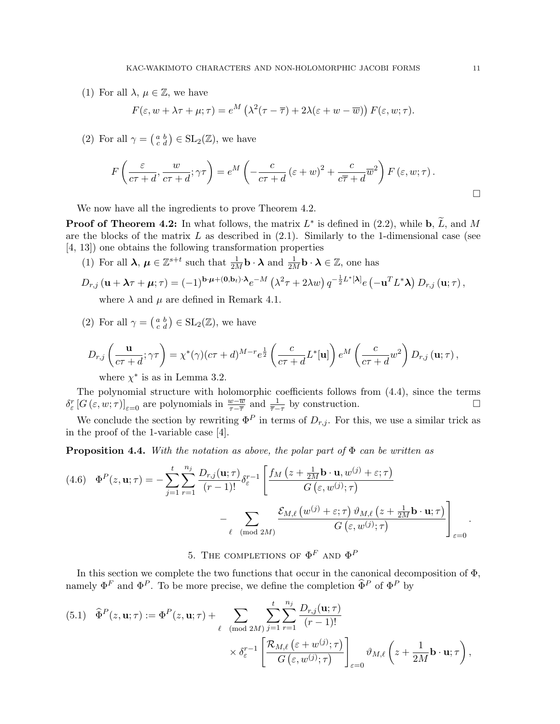(1) For all  $\lambda, \mu \in \mathbb{Z}$ , we have

$$
F(\varepsilon, w + \lambda \tau + \mu; \tau) = e^M \left( \lambda^2 (\tau - \overline{\tau}) + 2\lambda (\varepsilon + w - \overline{w}) \right) F(\varepsilon, w; \tau).
$$

(2) For all  $\gamma = \begin{pmatrix} a & b \\ c & d \end{pmatrix} \in SL_2(\mathbb{Z})$ , we have

$$
F\left(\frac{\varepsilon}{c\tau+d},\frac{w}{c\tau+d};\gamma\tau\right) = e^M\left(-\frac{c}{c\tau+d}(\varepsilon+w)^2 + \frac{c}{c\overline{\tau}+d}\overline{w}^2\right)F(\varepsilon,w;\tau).
$$

We now have all the ingredients to prove Theorem 4.2.

**Proof of Theorem 4.2:** In what follows, the matrix  $L^*$  is defined in (2.2), while  $\mathbf{b}, \tilde{L}$ , and M are the blocks of the matrix  $L$  as described in  $(2.1)$ . Similarly to the 1-dimensional case (see [4, 13]) one obtains the following transformation properties

(1) For all  $\lambda, \mu \in \mathbb{Z}^{s+t}$  such that  $\frac{1}{2M} \mathbf{b} \cdot \lambda$  and  $\frac{1}{2M} \mathbf{b} \cdot \lambda \in \mathbb{Z}$ , one has

$$
D_{r,j}(\mathbf{u} + \boldsymbol{\lambda}\tau + \boldsymbol{\mu};\tau) = (-1)^{\mathbf{b}\cdot\boldsymbol{\mu} + (\mathbf{0},\mathbf{b}t)\cdot\boldsymbol{\lambda}}e^{-M} \left(\lambda^2\tau + 2\lambda w\right) q^{-\frac{1}{2}L^*[\boldsymbol{\lambda}]}e\left(-\mathbf{u}^T L^*\boldsymbol{\lambda}\right) D_{r,j}(\mathbf{u};\tau),
$$
where  $\lambda$  and  $\mu$  are defined in Bessel 1.1

where  $\lambda$  and  $\mu$  are defined in Remark 4.1.

(2) For all  $\gamma = \begin{pmatrix} a & b \\ c & d \end{pmatrix} \in SL_2(\mathbb{Z})$ , we have

$$
D_{r,j}\left(\frac{\mathbf{u}}{c\tau+d};\gamma\tau\right)=\chi^*(\gamma)(c\tau+d)^{M-r}e^{\frac{1}{2}}\left(\frac{c}{c\tau+d}L^*[\mathbf{u}]\right)e^M\left(\frac{c}{c\tau+d}w^2\right)D_{r,j}\left(\mathbf{u};\tau\right),
$$

where  $\chi^*$  is as in Lemma 3.2.

The polynomial structure with holomorphic coefficients follows from (4.4), since the terms  $\delta_{\varepsilon}^{r} [G(\varepsilon, w; \tau)]_{\varepsilon=0}$  are polynomials in  $\frac{w-\overline{w}}{\tau-\overline{\tau}}$  and  $\frac{1}{\overline{\tau}-\tau}$  by construction.

We conclude the section by rewriting  $\Phi^P$  in terms of  $D_{r,j}$ . For this, we use a similar trick as in the proof of the 1-variable case [4].

**Proposition 4.4.** With the notation as above, the polar part of  $\Phi$  can be written as

$$
(4.6) \quad \Phi^{P}(z, \mathbf{u}; \tau) = -\sum_{j=1}^{t} \sum_{r=1}^{n_{j}} \frac{D_{r,j}(\mathbf{u}; \tau)}{(r-1)!} \delta_{\varepsilon}^{r-1} \left[ \frac{f_{M}(z + \frac{1}{2M}\mathbf{b} \cdot \mathbf{u}, w^{(j)} + \varepsilon; \tau)}{G(\varepsilon, w^{(j)}; \tau)} - \sum_{\ell \pmod{2M}} \frac{\mathcal{E}_{M,\ell}(w^{(j)} + \varepsilon; \tau) \vartheta_{M,\ell}(z + \frac{1}{2M}\mathbf{b} \cdot \mathbf{u}; \tau)}{G(\varepsilon, w^{(j)}; \tau)} \right]_{\varepsilon=0}.
$$

5. THE COMPLETIONS OF  $\Phi^F$  and  $\Phi^F$ 

In this section we complete the two functions that occur in the canonical decomposition of  $\Phi$ , namely  $\Phi^F$  and  $\Phi^P$ . To be more precise, we define the completion  $\hat{\Phi}^P$  of  $\Phi^P$  by

(5.1) 
$$
\widehat{\Phi}^{P}(z, \mathbf{u}; \tau) := \Phi^{P}(z, \mathbf{u}; \tau) + \sum_{\ell \pmod{2M}} \sum_{j=1}^{t} \sum_{r=1}^{n_{j}} \frac{D_{r,j}(\mathbf{u}; \tau)}{(r-1)!} \times \delta_{\varepsilon}^{r-1} \left[ \frac{\mathcal{R}_{M,\ell}(\varepsilon + w^{(j)}; \tau)}{G(\varepsilon, w^{(j)}; \tau)} \right]_{\varepsilon=0} \vartheta_{M,\ell} \left( z + \frac{1}{2M} \mathbf{b} \cdot \mathbf{u}; \tau \right),
$$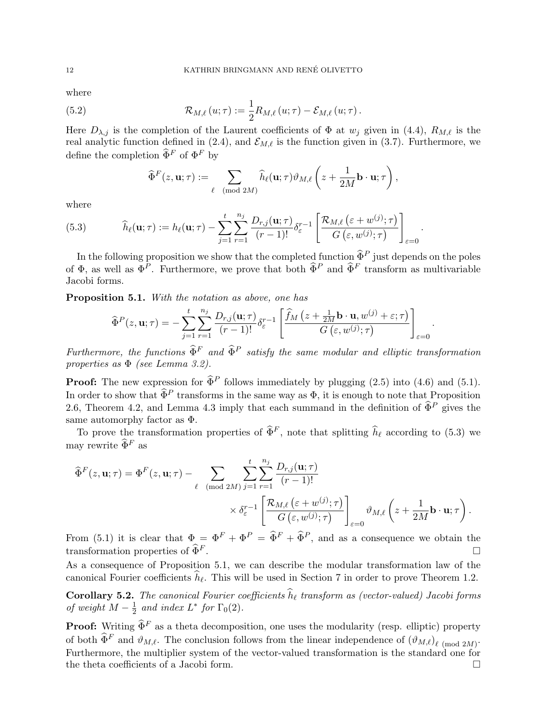where

(5.2) 
$$
\mathcal{R}_{M,\ell}(u;\tau) := \frac{1}{2} R_{M,\ell}(u;\tau) - \mathcal{E}_{M,\ell}(u;\tau).
$$

Here  $D_{\lambda,j}$  is the completion of the Laurent coefficients of  $\Phi$  at  $w_j$  given in (4.4),  $R_{M,\ell}$  is the real analytic function defined in (2.4), and  $\mathcal{E}_{M,\ell}$  is the function given in (3.7). Furthermore, we define the completion  $\widehat{\Phi}^F$  of  $\Phi^F$  by

$$
\widehat{\Phi}^F(z, \mathbf{u}; \tau) := \sum_{\ell \pmod{2M}} \widehat{h}_{\ell}(\mathbf{u}; \tau) \vartheta_{M, \ell} \left( z + \frac{1}{2M} \mathbf{b} \cdot \mathbf{u}; \tau \right),
$$

where

(5.3) 
$$
\widehat{h}_{\ell}(\mathbf{u};\tau) := h_{\ell}(\mathbf{u};\tau) - \sum_{j=1}^{t} \sum_{r=1}^{n_j} \frac{D_{r,j}(\mathbf{u};\tau)}{(r-1)!} \delta_{\varepsilon}^{r-1} \left[ \frac{\mathcal{R}_{M,\ell}(\varepsilon+w^{(j)};\tau)}{G(\varepsilon,w^{(j)};\tau)} \right]_{\varepsilon=0}.
$$

In the following proposition we show that the completed function  $\hat{\Phi}^P$  just depends on the poles of  $\Phi$ , as well as  $\overline{\Phi}^P$ . Furthermore, we prove that both  $\widehat{\Phi}^P$  and  $\widehat{\Phi}^F$  transform as multivariable Jacobi forms.

Proposition 5.1. With the notation as above, one has

$$
\widehat{\Phi}^{P}(z, \mathbf{u}; \tau) = -\sum_{j=1}^{t} \sum_{r=1}^{n_j} \frac{D_{r,j}(\mathbf{u}; \tau)}{(r-1)!} \delta_{\varepsilon}^{r-1} \left[ \frac{\widehat{f}_M\left(z + \frac{1}{2M}\mathbf{b} \cdot \mathbf{u}, w^{(j)} + \varepsilon; \tau\right)}{G\left(\varepsilon, w^{(j)}; \tau\right)} \right]_{\varepsilon=0}
$$

.

Furthermore, the functions  $\widehat{\Phi}^F$  and  $\widehat{\Phi}^P$  satisfy the same modular and elliptic transformation properties as Φ (see Lemma 3.2).

**Proof:** The new expression for  $\hat{\Phi}^P$  follows immediately by plugging (2.5) into (4.6) and (5.1). In order to show that  $\widehat{\Phi}^P$  transforms in the same way as  $\Phi$ , it is enough to note that Proposition 2.6, Theorem 4.2, and Lemma 4.3 imply that each summand in the definition of  $\hat{\Phi}^P$  gives the same automorphy factor as Φ.

To prove the transformation properties of  $\widehat{\Phi}^F$ , note that splitting  $\widehat{h}_\ell$  according to (5.3) we may rewrite  $\widehat{\Phi}^F$  as

$$
\widehat{\Phi}^{F}(z, \mathbf{u}; \tau) = \Phi^{F}(z, \mathbf{u}; \tau) - \sum_{\ell \pmod{2M}} \sum_{j=1}^{t} \sum_{r=1}^{n_{j}} \frac{D_{r,j}(\mathbf{u}; \tau)}{(r-1)!} \times \delta_{\varepsilon}^{r-1} \left[ \frac{\mathcal{R}_{M,\ell}(\varepsilon + w^{(j)}; \tau)}{G(\varepsilon, w^{(j)}; \tau)} \right]_{\varepsilon=0} \vartheta_{M,\ell} \left( z + \frac{1}{2M} \mathbf{b} \cdot \mathbf{u}; \tau \right).
$$

From (5.1) it is clear that  $\Phi = \Phi^F + \Phi^P = \hat{\Phi}^F + \hat{\Phi}^P$ , and as a consequence we obtain the transformation properties of  $\hat{\Phi}^F$ transformation properties of  $\widehat{\Phi}^F$ .

As a consequence of Proposition 5.1, we can describe the modular transformation law of the canonical Fourier coefficients  $h_\ell$ . This will be used in Section 7 in order to prove Theorem 1.2.

**Corollary 5.2.** The canonical Fourier coefficients  $\widehat{h}_{\ell}$  transform as (vector-valued) Jacobi forms of weight  $M-\frac{1}{2}$  $\frac{1}{2}$  and index  $L^*$  for  $\Gamma_0(2)$ .

**Proof:** Writing  $\hat{\Phi}^F$  as a theta decomposition, one uses the modularity (resp. elliptic) property of both  $\widehat{\Phi}^F$  and  $\vartheta_{M,\ell}$ . The conclusion follows from the linear independence of  $(\vartheta_{M,\ell})_{\ell \pmod{2M}}$ . Furthermore, the multiplier system of the vector-valued transformation is the standard one for the theta coefficients of a Jacobi form.  $\hfill \square$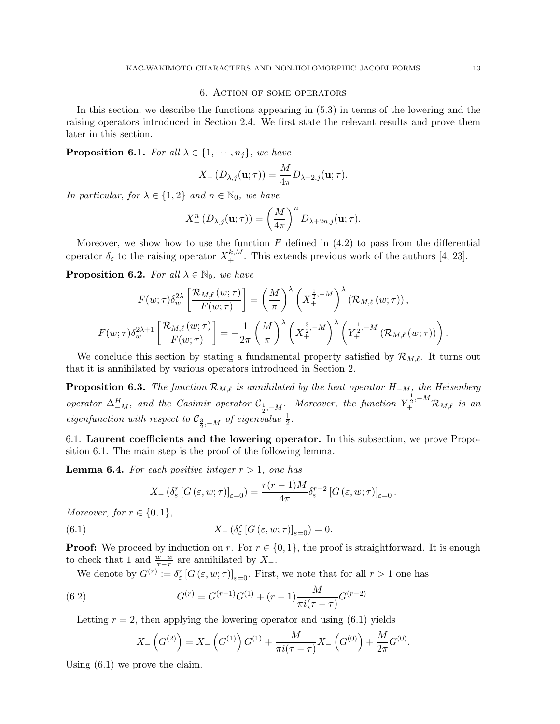# 6. Action of some operators

In this section, we describe the functions appearing in (5.3) in terms of the lowering and the raising operators introduced in Section 2.4. We first state the relevant results and prove them later in this section.

**Proposition 6.1.** For all  $\lambda \in \{1, \dots, n_j\}$ , we have

$$
X_{-}(D_{\lambda,j}(\mathbf{u};\tau)) = \frac{M}{4\pi}D_{\lambda+2,j}(\mathbf{u};\tau).
$$

In particular, for  $\lambda \in \{1,2\}$  and  $n \in \mathbb{N}_0$ , we have

$$
X_{-}^{n}(D_{\lambda,j}(\mathbf{u};\tau)) = \left(\frac{M}{4\pi}\right)^{n} D_{\lambda+2n,j}(\mathbf{u};\tau).
$$

Moreover, we show how to use the function  $F$  defined in (4.2) to pass from the differential operator  $\delta_{\varepsilon}$  to the raising operator  $X^{k,M}_{+}$ . This extends previous work of the authors [4, 23].

**Proposition 6.2.** For all  $\lambda \in \mathbb{N}_0$ , we have

$$
F(w;\tau)\delta_w^{2\lambda}\left[\frac{\mathcal{R}_{M,\ell}(w;\tau)}{F(w;\tau)}\right] = \left(\frac{M}{\pi}\right)^{\lambda}\left(X_{+}^{\frac{1}{2},-M}\right)^{\lambda}\left(\mathcal{R}_{M,\ell}(w;\tau)\right),
$$
  

$$
F(w;\tau)\delta_w^{2\lambda+1}\left[\frac{\mathcal{R}_{M,\ell}(w;\tau)}{F(w;\tau)}\right] = -\frac{1}{2\pi}\left(\frac{M}{\pi}\right)^{\lambda}\left(X_{+}^{\frac{3}{2},-M}\right)^{\lambda}\left(Y_{+}^{\frac{1}{2},-M}\left(\mathcal{R}_{M,\ell}(w;\tau)\right)\right).
$$

We conclude this section by stating a fundamental property satisfied by  $\mathcal{R}_{M,\ell}$ . It turns out that it is annihilated by various operators introduced in Section 2.

**Proposition 6.3.** The function  $\mathcal{R}_{M,\ell}$  is annihilated by the heat operator  $H_{-M}$ , the Heisenberg operator  $\Delta_{-M}^H$ , and the Casimir operator  $\mathcal{C}_{\frac{1}{2},-M}$ . Moreover, the function  $Y_{+}^{\frac{1}{2},-M}\mathcal{R}_{M,\ell}$  is an eigenfunction with respect to  $\mathcal{C}_{\frac{3}{2}, -M}$  of eigenvalue  $\frac{1}{2}$ .

6.1. Laurent coefficients and the lowering operator. In this subsection, we prove Proposition 6.1. The main step is the proof of the following lemma.

**Lemma 6.4.** For each positive integer  $r > 1$ , one has

$$
X_{-}(\delta_{\varepsilon}^{r}[G(\varepsilon,w;\tau)]_{\varepsilon=0})=\frac{r(r-1)M}{4\pi}\delta_{\varepsilon}^{r-2}[G(\varepsilon,w;\tau)]_{\varepsilon=0}.
$$

Moreover, for  $r \in \{0, 1\}$ ,

(6.1) 
$$
X_{-}(\delta_{\varepsilon}^{r}[G(\varepsilon,w;\tau)]_{\varepsilon=0})=0.
$$

**Proof:** We proceed by induction on r. For  $r \in \{0, 1\}$ , the proof is straightforward. It is enough to check that 1 and  $\frac{w-\overline{w}}{\tau-\overline{\tau}}$  are annihilated by X<sub>-</sub>.

.

We denote by  $G^{(r)} := \delta_{\varepsilon}^r [G(\varepsilon, w; \tau)]_{\varepsilon=0}$ . First, we note that for all  $r > 1$  one has

(6.2) 
$$
G^{(r)} = G^{(r-1)}G^{(1)} + (r-1)\frac{M}{\pi i(\tau - \overline{\tau})}G^{(r-2)}
$$

Letting  $r = 2$ , then applying the lowering operator and using (6.1) yields

$$
X_{-}\left(G^{(2)}\right) = X_{-}\left(G^{(1)}\right)G^{(1)} + \frac{M}{\pi i(\tau - \overline{\tau})}X_{-}\left(G^{(0)}\right) + \frac{M}{2\pi}G^{(0)}.
$$

Using (6.1) we prove the claim.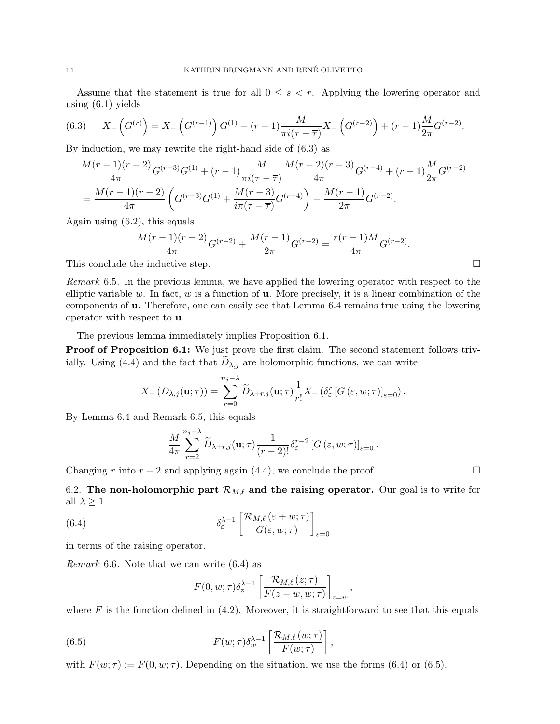Assume that the statement is true for all  $0 \leq s \leq r$ . Applying the lowering operator and using  $(6.1)$  yields

(6.3) 
$$
X_{-}\left(G^{(r)}\right) = X_{-}\left(G^{(r-1)}\right)G^{(1)} + (r-1)\frac{M}{\pi i(\tau-\overline{\tau})}X_{-}\left(G^{(r-2)}\right) + (r-1)\frac{M}{2\pi}G^{(r-2)}.
$$

By induction, we may rewrite the right-hand side of (6.3) as

$$
\frac{M(r-1)(r-2)}{4\pi}G^{(r-3)}G^{(1)} + (r-1)\frac{M}{\pi i(\tau-\overline{\tau})}\frac{M(r-2)(r-3)}{4\pi}G^{(r-4)} + (r-1)\frac{M}{2\pi}G^{(r-2)} \n= \frac{M(r-1)(r-2)}{4\pi}\left(G^{(r-3)}G^{(1)} + \frac{M(r-3)}{i\pi(\tau-\overline{\tau})}G^{(r-4)}\right) + \frac{M(r-1)}{2\pi}G^{(r-2)}.
$$

Again using (6.2), this equals

$$
\frac{M(r-1)(r-2)}{4\pi}G^{(r-2)} + \frac{M(r-1)}{2\pi}G^{(r-2)} = \frac{r(r-1)M}{4\pi}G^{(r-2)}.
$$

This conclude the inductive step.  $\Box$ 

Remark 6.5. In the previous lemma, we have applied the lowering operator with respect to the elliptic variable w. In fact, w is a function of  $\bf{u}$ . More precisely, it is a linear combination of the components of u. Therefore, one can easily see that Lemma 6.4 remains true using the lowering operator with respect to u.

The previous lemma immediately implies Proposition 6.1.

Proof of Proposition 6.1: We just prove the first claim. The second statement follows trivially. Using (4.4) and the fact that  $D_{\lambda,j}$  are holomorphic functions, we can write

$$
X_{-}(D_{\lambda,j}(\mathbf{u};\tau))=\sum_{r=0}^{n_j-\lambda}\widetilde{D}_{\lambda+r,j}(\mathbf{u};\tau)\frac{1}{r!}X_{-}(\delta_{\varepsilon}^r[G(\varepsilon,w;\tau)]_{\varepsilon=0}).
$$

By Lemma 6.4 and Remark 6.5, this equals

$$
\frac{M}{4\pi} \sum_{r=2}^{n_j - \lambda} \widetilde{D}_{\lambda+r,j}(\mathbf{u};\tau) \frac{1}{(r-2)!} \delta_{\varepsilon}^{r-2} \left[ G\left(\varepsilon, w;\tau\right) \right]_{\varepsilon=0}.
$$

Changing r into  $r + 2$  and applying again (4.4), we conclude the proof.

6.2. The non-holomorphic part  $\mathcal{R}_{M,\ell}$  and the raising operator. Our goal is to write for all  $\lambda \geq 1$ 

(6.4) 
$$
\delta_{\varepsilon}^{\lambda-1} \left[ \frac{\mathcal{R}_{M,\ell}(\varepsilon+w;\tau)}{G(\varepsilon,w;\tau)} \right]_{\varepsilon=0}
$$

in terms of the raising operator.

Remark 6.6. Note that we can write (6.4) as

$$
F(0, w; \tau) \delta_z^{\lambda - 1} \left[ \frac{\mathcal{R}_{M, \ell} (z; \tau)}{F(z - w, w; \tau)} \right]_{z = w},
$$

where F is the function defined in  $(4.2)$ . Moreover, it is straightforward to see that this equals

(6.5) 
$$
F(w;\tau)\delta_{w}^{\lambda-1}\left[\frac{\mathcal{R}_{M,\ell}(w;\tau)}{F(w;\tau)}\right],
$$

with  $F(w; \tau) := F(0, w; \tau)$ . Depending on the situation, we use the forms (6.4) or (6.5).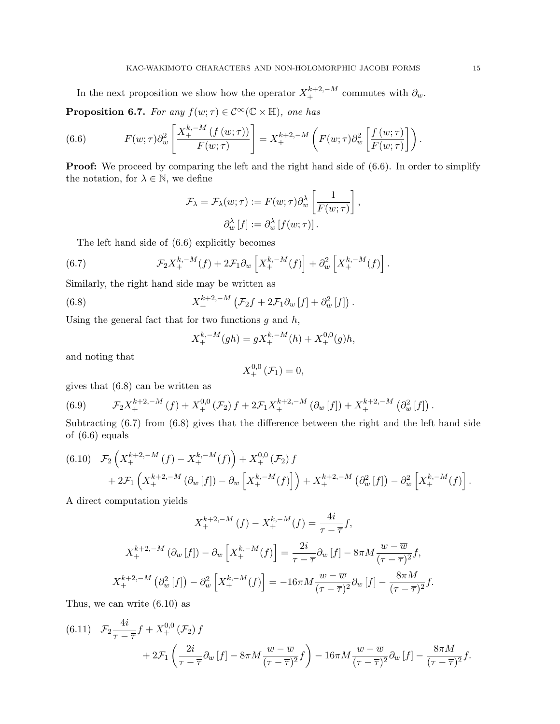In the next proposition we show how the operator  $X^{k+2,-M}_+$  commutes with  $\partial_w$ . **Proposition 6.7.** For any  $f(w; \tau) \in C^{\infty}(\mathbb{C} \times \mathbb{H})$ , one has

(6.6) 
$$
F(w;\tau)\partial_w^2\left[\frac{X_+^{k,-M}(f(w;\tau))}{F(w;\tau)}\right] = X_+^{k+2,-M}\left(F(w;\tau)\partial_w^2\left[\frac{f(w;\tau)}{F(w;\tau)}\right]\right).
$$

**Proof:** We proceed by comparing the left and the right hand side of  $(6.6)$ . In order to simplify the notation, for  $\lambda \in \mathbb{N}$ , we define

$$
\mathcal{F}_{\lambda} = \mathcal{F}_{\lambda}(w; \tau) := F(w; \tau) \partial_{w}^{\lambda} \left[ \frac{1}{F(w; \tau)} \right],
$$
  

$$
\partial_{w}^{\lambda} [f] := \partial_{w}^{\lambda} [f(w; \tau)].
$$

The left hand side of (6.6) explicitly becomes

(6.7) 
$$
\mathcal{F}_2 X_+^{k,-M}(f) + 2\mathcal{F}_1 \partial_w \left[ X_+^{k,-M}(f) \right] + \partial_w^2 \left[ X_+^{k,-M}(f) \right].
$$

Similarly, the right hand side may be written as

(6.8) 
$$
X_+^{k+2,-M}\left(\mathcal{F}_2f+2\mathcal{F}_1\partial_w\left[f\right]+\partial_w^2\left[f\right]\right).
$$

Using the general fact that for two functions  $g$  and  $h$ ,

$$
X^{k,-M}_{+}(gh) = gX^{k,-M}_{+}(h) + X^{0,0}_{+}(g)h,
$$

and noting that

$$
X_{+}^{0,0}\left( \mathcal{F}_{1}\right) =0,
$$

gives that (6.8) can be written as

(6.9) 
$$
\mathcal{F}_2 X_+^{k+2,-M}(f) + X_+^{0,0}(\mathcal{F}_2) f + 2 \mathcal{F}_1 X_+^{k+2,-M}(\partial_w[f]) + X_+^{k+2,-M}(\partial_w^2[f]) .
$$

Subtracting  $(6.7)$  from  $(6.8)$  gives that the difference between the right and the left hand side of (6.6) equals

$$
(6.10) \quad \mathcal{F}_2\left(X_+^{k+2,-M}(f) - X_+^{k,-M}(f)\right) + X_+^{0,0}(\mathcal{F}_2) f + 2\mathcal{F}_1\left(X_+^{k+2,-M}(\partial_w[f]) - \partial_w\left[X_+^{k,-M}(f)\right]\right) + X_+^{k+2,-M}(\partial_w^2[f]) - \partial_w^2\left[X_+^{k,-M}(f)\right].
$$

A direct computation yields

$$
X_{+}^{k+2,-M}(f) - X_{+}^{k,-M}(f) = \frac{4i}{\tau - \overline{\tau}}f,
$$
  

$$
X_{+}^{k+2,-M}(\partial_{w}[f]) - \partial_{w}\left[X_{+}^{k,-M}(f)\right] = \frac{2i}{\tau - \overline{\tau}}\partial_{w}[f] - 8\pi M \frac{w - \overline{w}}{(\tau - \overline{\tau})^{2}}f,
$$
  

$$
X_{+}^{k+2,-M}(\partial_{w}^{2}[f]) - \partial_{w}^{2}\left[X_{+}^{k,-M}(f)\right] = -16\pi M \frac{w - \overline{w}}{(\tau - \overline{\tau})^{2}}\partial_{w}[f] - \frac{8\pi M}{(\tau - \overline{\tau})^{2}}f.
$$

Thus, we can write (6.10) as

$$
(6.11) \quad \mathcal{F}_{2} \frac{4i}{\tau - \overline{\tau}} f + X_{+}^{0,0} \left( \mathcal{F}_{2} \right) f \n+ 2\mathcal{F}_{1} \left( \frac{2i}{\tau - \overline{\tau}} \partial_{w} \left[ f \right] - 8\pi M \frac{w - \overline{w}}{(\tau - \overline{\tau})^{2}} f \right) - 16\pi M \frac{w - \overline{w}}{(\tau - \overline{\tau})^{2}} \partial_{w} \left[ f \right] - \frac{8\pi M}{(\tau - \overline{\tau})^{2}} f.
$$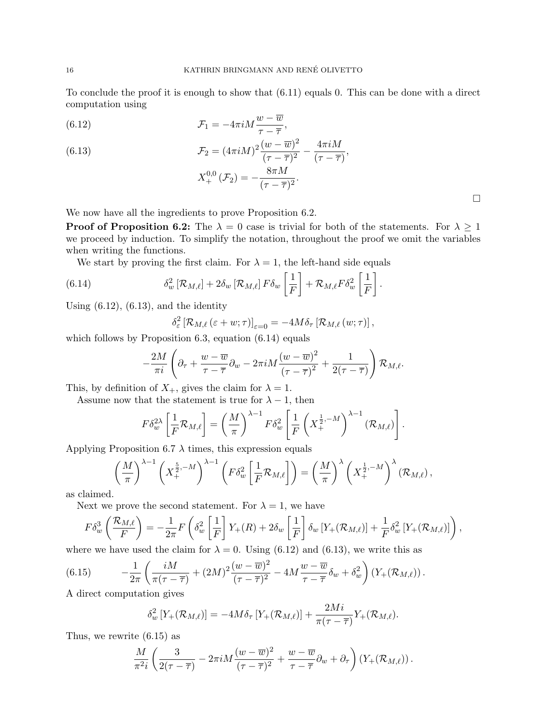To conclude the proof it is enough to show that (6.11) equals 0. This can be done with a direct computation using

(6.12) 
$$
\mathcal{F}_1 = -4\pi i M \frac{w - \overline{w}}{\tau - \overline{\tau}},
$$

(6.13) 
$$
\mathcal{F}_2 = (4\pi i M)^2 \frac{(w - \overline{w})^2}{(\tau - \overline{\tau})^2} - \frac{4\pi i M}{(\tau - \overline{\tau})},
$$

$$
X_+^{0,0}(\mathcal{F}_2) = -\frac{8\pi M}{(\tau - \overline{\tau})^2}.
$$

We now have all the ingredients to prove Proposition 6.2.

**Proof of Proposition 6.2:** The  $\lambda = 0$  case is trivial for both of the statements. For  $\lambda \geq 1$ we proceed by induction. To simplify the notation, throughout the proof we omit the variables when writing the functions.

We start by proving the first claim. For  $\lambda = 1$ , the left-hand side equals

(6.14) 
$$
\delta_w^2 [\mathcal{R}_{M,\ell}] + 2\delta_w [\mathcal{R}_{M,\ell}] F \delta_w \left[ \frac{1}{F} \right] + \mathcal{R}_{M,\ell} F \delta_w^2 \left[ \frac{1}{F} \right].
$$

Using  $(6.12)$ ,  $(6.13)$ , and the identity

$$
\delta_{\varepsilon}^{2} \left[\mathcal{R}_{M,\ell}\left(\varepsilon+w;\tau\right)\right]_{\varepsilon=0}=-4M\delta_{\tau}\left[\mathcal{R}_{M,\ell}\left(w;\tau\right)\right],
$$

which follows by Proposition 6.3, equation  $(6.14)$  equals

$$
-\frac{2M}{\pi i}\left(\partial_{\tau} + \frac{w-\overline{w}}{\tau-\overline{\tau}}\partial_w - 2\pi i M \frac{(w-\overline{w})^2}{(\tau-\overline{\tau})^2} + \frac{1}{2(\tau-\overline{\tau})}\right)\mathcal{R}_{M,\ell}.
$$

This, by definition of  $X_+$ , gives the claim for  $\lambda = 1$ .

Assume now that the statement is true for  $\lambda - 1$ , then

$$
F\delta_w^{2\lambda}\left[\frac{1}{F}\mathcal{R}_{M,\ell}\right] = \left(\frac{M}{\pi}\right)^{\lambda-1}F\delta_w^2\left[\frac{1}{F}\left(X_+^{\frac{1}{2},-M}\right)^{\lambda-1}(\mathcal{R}_{M,\ell})\right].
$$

Applying Proposition 6.7  $\lambda$  times, this expression equals

$$
\left(\frac{M}{\pi}\right)^{\lambda-1}\left(X_{+}^{\frac{5}{2},-M}\right)^{\lambda-1}\left(F\delta_{w}^{2}\left[\frac{1}{F}\mathcal{R}_{M,\ell}\right]\right)=\left(\frac{M}{\pi}\right)^{\lambda}\left(X_{+}^{\frac{1}{2},-M}\right)^{\lambda}\left(\mathcal{R}_{M,\ell}\right),
$$

as claimed.

Next we prove the second statement. For  $\lambda = 1$ , we have

$$
F\delta_w^3\left(\frac{\mathcal{R}_{M,\ell}}{F}\right) = -\frac{1}{2\pi}F\left(\delta_w^2\left[\frac{1}{F}\right]Y_+(R) + 2\delta_w\left[\frac{1}{F}\right]\delta_w\left[Y_+(\mathcal{R}_{M,\ell})\right] + \frac{1}{F}\delta_w^2\left[Y_+(\mathcal{R}_{M,\ell})\right]\right),
$$

where we have used the claim for  $\lambda = 0$ . Using (6.12) and (6.13), we write this as

(6.15) 
$$
-\frac{1}{2\pi}\left(\frac{iM}{\pi(\tau-\overline{\tau})}+(2M)^2\frac{(w-\overline{w})^2}{(\tau-\overline{\tau})^2}-4M\frac{w-\overline{w}}{\tau-\overline{\tau}}\delta_w+\delta_w^2\right)\left(Y_+(\mathcal{R}_{M,\ell})\right).
$$

A direct computation gives

$$
\delta_w^2 \left[ Y_+(\mathcal{R}_{M,\ell}) \right] = -4M \delta_\tau \left[ Y_+(\mathcal{R}_{M,\ell}) \right] + \frac{2Mi}{\pi(\tau - \overline{\tau})} Y_+(\mathcal{R}_{M,\ell}).
$$

Thus, we rewrite (6.15) as

$$
\frac{M}{\pi^2 i} \left( \frac{3}{2(\tau - \overline{\tau})} - 2\pi i M \frac{(w - \overline{w})^2}{(\tau - \overline{\tau})^2} + \frac{w - \overline{w}}{\tau - \overline{\tau}} \partial_w + \partial_\tau \right) \left( Y_+(\mathcal{R}_{M,\ell}) \right).
$$

 $\Box$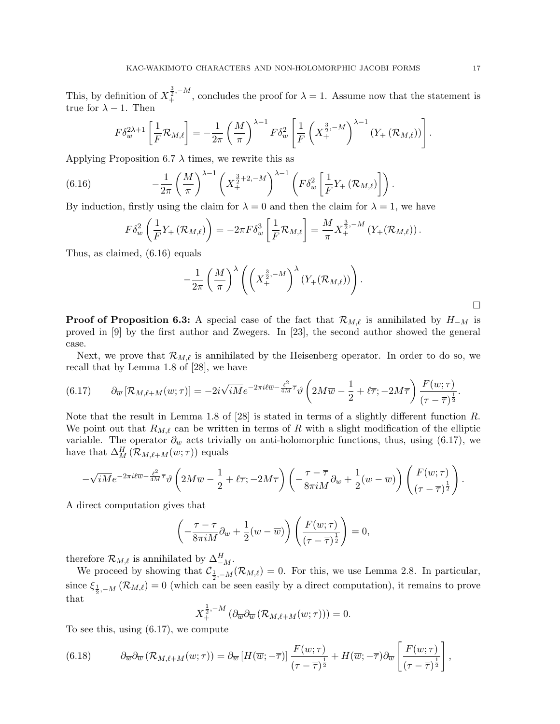This, by definition of  $X_{+}^{\frac{3}{2},-M}$ , concludes the proof for  $\lambda=1$ . Assume now that the statement is true for  $\lambda - 1$ . Then

$$
F\delta_{w}^{2\lambda+1}\left[\frac{1}{F}\mathcal{R}_{M,\ell}\right] = -\frac{1}{2\pi}\left(\frac{M}{\pi}\right)^{\lambda-1}F\delta_{w}^{2}\left[\frac{1}{F}\left(X_{+}^{\frac{3}{2},-M}\right)^{\lambda-1}\left(Y_{+}\left(\mathcal{R}_{M,\ell}\right)\right)\right]
$$

Applying Proposition 6.7  $\lambda$  times, we rewrite this as

(6.16) 
$$
-\frac{1}{2\pi}\left(\frac{M}{\pi}\right)^{\lambda-1}\left(X_{+}^{\frac{3}{2}+2,-M}\right)^{\lambda-1}\left(F\delta_{w}^{2}\left[\frac{1}{F}Y_{+}\left(\mathcal{R}_{M,\ell}\right)\right]\right).
$$

By induction, firstly using the claim for  $\lambda = 0$  and then the claim for  $\lambda = 1$ , we have

$$
F\delta_w^2\left(\frac{1}{F}Y_+(\mathcal{R}_{M,\ell})\right)=-2\pi F\delta_w^3\left[\frac{1}{F}\mathcal{R}_{M,\ell}\right]=\frac{M}{\pi}X_+^{\frac{3}{2},-M}\left(Y_+(\mathcal{R}_{M,\ell})\right).
$$

Thus, as claimed, (6.16) equals

$$
-\frac{1}{2\pi}\left(\frac{M}{\pi}\right)^{\lambda}\left(\left(X_{+}^{\frac{3}{2},-M}\right)^{\lambda}\left(Y_{+}(\mathcal{R}_{M,\ell})\right)\right).
$$

**Proof of Proposition 6.3:** A special case of the fact that  $\mathcal{R}_{M,\ell}$  is annihilated by  $H_{-M}$  is proved in [9] by the first author and Zwegers. In [23], the second author showed the general case.

Next, we prove that  $\mathcal{R}_{M,\ell}$  is annihilated by the Heisenberg operator. In order to do so, we recall that by Lemma 1.8 of [28], we have

$$
(6.17) \qquad \partial_{\overline{w}}\left[\mathcal{R}_{M,\ell+M}(w;\tau)\right] = -2i\sqrt{iM}e^{-2\pi i\ell\overline{w} - \frac{\ell^2}{4M}\overline{\tau}}\vartheta\left(2M\overline{w} - \frac{1}{2} + \ell\overline{\tau}; -2M\overline{\tau}\right)\frac{F(w;\tau)}{(\tau - \overline{\tau})^{\frac{1}{2}}}.
$$

Note that the result in Lemma 1.8 of [28] is stated in terms of a slightly different function R. We point out that  $R_{M,\ell}$  can be written in terms of R with a slight modification of the elliptic variable. The operator  $\partial_w$  acts trivially on anti-holomorphic functions, thus, using (6.17), we have that  $\Delta_M^H(\mathcal{R}_{M,\ell+M}(w;\tau))$  equals

$$
-\sqrt{iM}e^{-2\pi i\ell\overline{w}-\frac{\ell^2}{4M}\overline{\tau}}\vartheta\left(2M\overline{w}-\frac{1}{2}+\ell\overline{\tau};-2M\overline{\tau}\right)\left(-\frac{\tau-\overline{\tau}}{8\pi iM}\partial_w+\frac{1}{2}(w-\overline{w})\right)\left(\frac{F(w;\tau)}{(\tau-\overline{\tau})^{\frac{1}{2}}}\right).
$$

A direct computation gives that

$$
\left(-\frac{\tau-\overline{\tau}}{8\pi iM}\partial_w+\frac{1}{2}(w-\overline{w})\right)\left(\frac{F(w;\tau)}{(\tau-\overline{\tau})^{\frac{1}{2}}}\right)=0,
$$

therefore  $\mathcal{R}_{M,\ell}$  is annihilated by  $\Delta_{-M}^H$ .

We proceed by showing that  $\mathcal{C}_{\frac{1}{2}, -M}(\mathcal{R}_{M,\ell}) = 0$ . For this, we use Lemma 2.8. In particular, since  $\xi_{\frac{1}{2},-M}(\mathcal{R}_{M,\ell})=0$  (which can be seen easily by a direct computation), it remains to prove that

$$
X_{+}^{\frac{1}{2},-M}\left(\partial_{\overline{w}}\partial_{\overline{w}}\left(\mathcal{R}_{M,\ell+M}(w;\tau)\right)\right)=0.
$$

To see this, using (6.17), we compute

(6.18) 
$$
\partial_{\overline{w}}\partial_{\overline{w}}(\mathcal{R}_{M,\ell+M}(w;\tau)) = \partial_{\overline{w}}\left[H(\overline{w};-\overline{\tau})\right]\frac{F(w;\tau)}{(\tau-\overline{\tau})^{\frac{1}{2}}} + H(\overline{w};-\overline{\tau})\partial_{\overline{w}}\left[\frac{F(w;\tau)}{(\tau-\overline{\tau})^{\frac{1}{2}}}\right],
$$

 $\Box$ 

.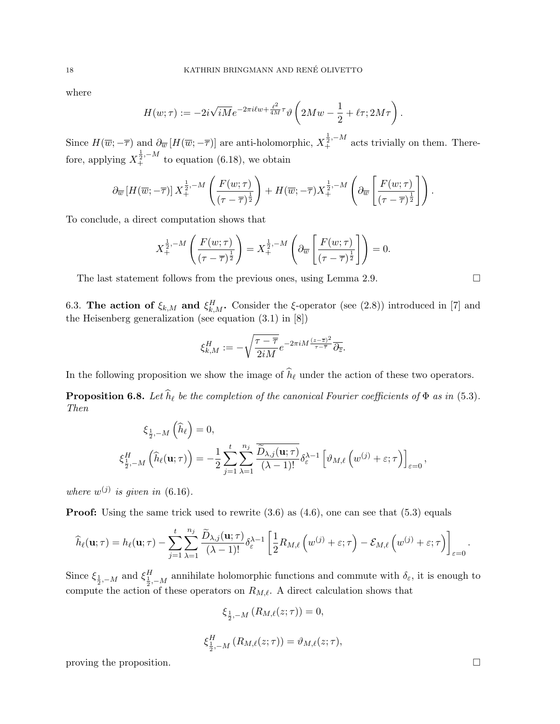where

$$
H(w;\tau) := -2i\sqrt{iM}e^{-2\pi i\ell w + \frac{\ell^2}{4M}\tau}\vartheta\left(2Mw - \frac{1}{2} + \ell\tau; 2M\tau\right).
$$

Since  $H(\overline{w}; -\overline{\tau})$  and  $\partial_{\overline{w}}[H(\overline{w}; -\overline{\tau})]$  are anti-holomorphic,  $X_{+}^{\frac{1}{2}, -M}$  acts trivially on them. Therefore, applying  $X_{+}^{\frac{1}{2},-M}$  to equation (6.18), we obtain

$$
\partial_{\overline{w}}\left[H(\overline{w};-\overline{\tau})\right]X_{+}^{\frac{1}{2},-M}\left(\frac{F(w;\tau)}{(\tau-\overline{\tau})^{\frac{1}{2}}}\right)+H(\overline{w};-\overline{\tau})X_{+}^{\frac{1}{2},-M}\left(\partial_{\overline{w}}\left[\frac{F(w;\tau)}{(\tau-\overline{\tau})^{\frac{1}{2}}}\right]\right).
$$

To conclude, a direct computation shows that

$$
X_{+}^{\frac{1}{2},-M}\left(\frac{F(w;\tau)}{(\tau-\overline{\tau})^{\frac{1}{2}}}\right)=X_{+}^{\frac{1}{2},-M}\left(\partial_{\overline{w}}\left[\frac{F(w;\tau)}{(\tau-\overline{\tau})^{\frac{1}{2}}}\right]\right)=0.
$$

The last statement follows from the previous ones, using Lemma 2.9.  $\Box$ 

6.3. The action of  $\xi_{k,M}$  and  $\xi_{k,M}^H$ . Consider the ξ-operator (see (2.8)) introduced in [7] and the Heisenberg generalization (see equation (3.1) in [8])

$$
\xi_{k,M}^H:=-\sqrt{\frac{\tau-\overline{\tau}}{2iM}}e^{-2\pi i M\frac{(z-\overline{z})^2}{\tau-\overline{\tau}}}\overline{\partial_{\overline{z}}}.
$$

In the following proposition we show the image of  $\widehat{h}_{\ell}$  under the action of these two operators.

**Proposition 6.8.** Let  $\widehat{h}_{\ell}$  be the completion of the canonical Fourier coefficients of  $\Phi$  as in (5.3). Then

$$
\xi_{\frac{1}{2},-M}(\widehat{h}_{\ell}) = 0,
$$
\n
$$
\xi_{\frac{1}{2},-M}^H(\widehat{h}_{\ell}(\mathbf{u};\tau)) = -\frac{1}{2} \sum_{j=1}^t \sum_{\lambda=1}^{n_j} \frac{\overline{\widetilde{D}_{\lambda,j}(\mathbf{u};\tau)}}{(\lambda-1)!} \delta_{\varepsilon}^{\lambda-1} \left[ \vartheta_{M,\ell} \left( w^{(j)} + \varepsilon; \tau \right) \right]_{\varepsilon=0},
$$

where  $w^{(j)}$  is given in (6.16).

**Proof:** Using the same trick used to rewrite  $(3.6)$  as  $(4.6)$ , one can see that  $(5.3)$  equals

$$
\widehat{h}_{\ell}(\mathbf{u};\tau) = h_{\ell}(\mathbf{u};\tau) - \sum_{j=1}^{t} \sum_{\lambda=1}^{n_j} \frac{\widetilde{D}_{\lambda,j}(\mathbf{u};\tau)}{(\lambda-1)!} \delta_{\varepsilon}^{\lambda-1} \left[ \frac{1}{2} R_{M,\ell} \left( w^{(j)} + \varepsilon; \tau \right) - \mathcal{E}_{M,\ell} \left( w^{(j)} + \varepsilon; \tau \right) \right]_{\varepsilon=0}.
$$

Since  $\xi_{\frac{1}{2},-M}$  and  $\xi_{\frac{1}{2},-M}^H$  annihilate holomorphic functions and commute with  $\delta_{\varepsilon}$ , it is enough to compute the action of these operators on  $R_{M,\ell}$ . A direct calculation shows that

$$
\xi_{\frac{1}{2},-M} (R_{M,\ell}(z;\tau)) = 0,
$$
  

$$
\xi_{\frac{1}{2},-M}^H (R_{M,\ell}(z;\tau)) = \vartheta_{M,\ell}(z;\tau),
$$

proving the proposition.  $\Box$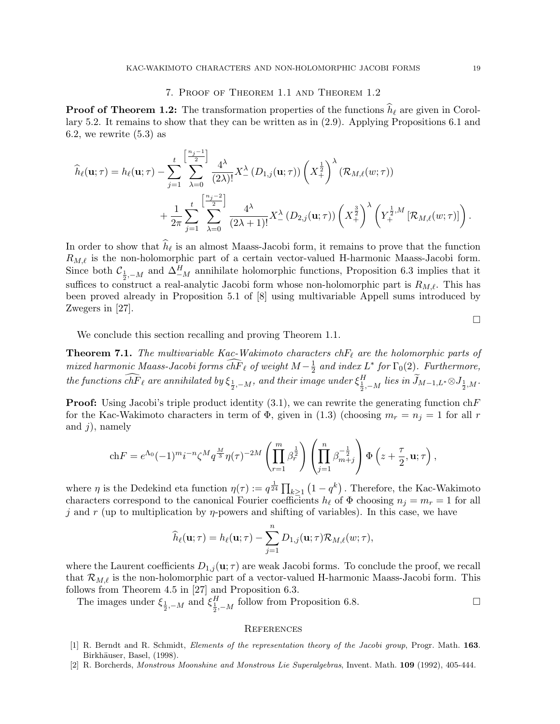# 7. Proof of Theorem 1.1 and Theorem 1.2

**Proof of Theorem 1.2:** The transformation properties of the functions  $\hat{h}_{\ell}$  are given in Corollary 5.2. It remains to show that they can be written as in (2.9). Applying Propositions 6.1 and 6.2, we rewrite  $(5.3)$  as

$$
\widehat{h}_{\ell}(\mathbf{u};\tau) = h_{\ell}(\mathbf{u};\tau) - \sum_{j=1}^{t} \sum_{\lambda=0}^{\left[\frac{n_{j}-1}{2}\right]} \frac{4^{\lambda}}{(2\lambda)!} X_{-}^{\lambda} (D_{1,j}(\mathbf{u};\tau)) \left(X_{+}^{\frac{1}{2}}\right)^{\lambda} (\mathcal{R}_{M,\ell}(w;\tau)) + \frac{1}{2\pi} \sum_{j=1}^{t} \sum_{\lambda=0}^{\left[\frac{n_{j}-2}{2}\right]} \frac{4^{\lambda}}{(2\lambda+1)!} X_{-}^{\lambda} (D_{2,j}(\mathbf{u};\tau)) \left(X_{+}^{\frac{3}{2}}\right)^{\lambda} \left(Y_{+}^{\frac{1}{2},M} [\mathcal{R}_{M,\ell}(w;\tau)]\right).
$$

In order to show that  $h_\ell$  is an almost Maass-Jacobi form, it remains to prove that the function  $R_{M,\ell}$  is the non-holomorphic part of a certain vector-valued H-harmonic Maass-Jacobi form. Since both  $\mathcal{C}_{\frac{1}{2}, -M}$  and  $\Delta_{-M}^H$  annihilate holomorphic functions, Proposition 6.3 implies that it suffices to construct a real-analytic Jacobi form whose non-holomorphic part is  $R_{M,\ell}$ . This has been proved already in Proposition 5.1 of [8] using multivariable Appell sums introduced by Zwegers in [27].

 $\Box$ 

We conclude this section recalling and proving Theorem 1.1.

**Theorem 7.1.** The multivariable Kac-Wakimoto characters ch $F_\ell$  are the holomorphic parts of mixed harmonic Maass-Jacobi forms  $\widehat{chF}_\ell$  of weight  $M - \frac{1}{2}$  $\frac{1}{2}$  and index  $L^*$  for  $\Gamma_0(2)$ . Furthermore,  $the\ functions\ \widehat{chF}_\ell$  are annihilated by  $\xi_{\frac12,-M},$  and their image under  $\xi_{\frac12,-M}^H$  lies in  $\widetilde{J}_{M-1,L^*}\otimes J_{\frac12,M}.$ 

**Proof:** Using Jacobi's triple product identity  $(3.1)$ , we can rewrite the generating function ch $F$ for the Kac-Wakimoto characters in term of  $\Phi$ , given in (1.3) (choosing  $m_r = n_j = 1$  for all r and  $j$ , namely

$$
\text{ch}F = e^{\Lambda_0} (-1)^m i^{-n} \zeta^M q^{\frac{M}{3}} \eta(\tau)^{-2M} \left( \prod_{r=1}^m \beta_r^{\frac{1}{2}} \right) \left( \prod_{j=1}^n \beta_{m+j}^{-\frac{1}{2}} \right) \Phi \left( z + \frac{\tau}{2}, \mathbf{u}; \tau \right),
$$

where  $\eta$  is the Dedekind eta function  $\eta(\tau) := q^{\frac{1}{24}} \prod_{k \geq 1} (1 - q^k)$ . Therefore, the Kac-Wakimoto characters correspond to the canonical Fourier coefficients  $h_\ell$  of  $\Phi$  choosing  $n_j = m_r = 1$  for all j and r (up to multiplication by  $\eta$ -powers and shifting of variables). In this case, we have

$$
\widehat{h}_{\ell}(\mathbf{u};\tau) = h_{\ell}(\mathbf{u};\tau) - \sum_{j=1}^{n} D_{1,j}(\mathbf{u};\tau) \mathcal{R}_{M,\ell}(w;\tau),
$$

where the Laurent coefficients  $D_{1,j}(\mathbf{u};\tau)$  are weak Jacobi forms. To conclude the proof, we recall that  $\mathcal{R}_{M,\ell}$  is the non-holomorphic part of a vector-valued H-harmonic Maass-Jacobi form. This follows from Theorem 4.5 in [27] and Proposition 6.3.

The images under  $\xi_{\frac{1}{2},-M}$  and  $\xi_{\frac{1}{2},-M}^H$  follow from Proposition 6.8.

# **REFERENCES**

- [1] R. Berndt and R. Schmidt, Elements of the representation theory of the Jacobi group, Progr. Math. 163. Birkhäuser, Basel, (1998).
- [2] R. Borcherds, Monstrous Moonshine and Monstrous Lie Superalgebras, Invent. Math. 109 (1992), 405-444.